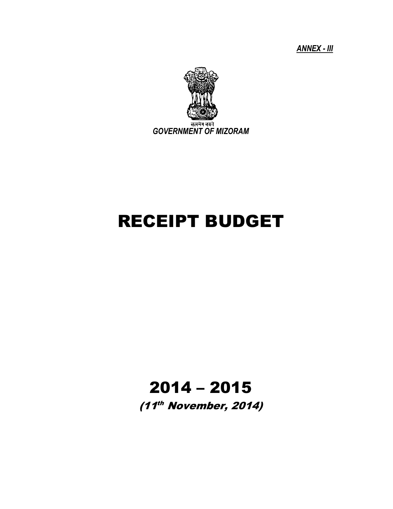*ANNEX - III*



# RECEIPT BUDGET

# 2014 – 2015

(11<sup>th</sup> November, 2014)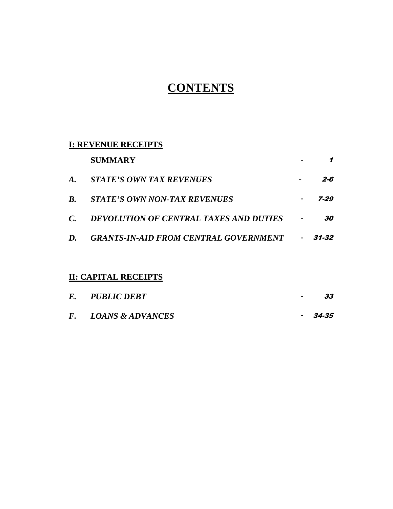# **CONTENTS**

# **I: REVENUE RECEIPTS**

|             | <b>SUMMARY</b>                                |                |       |
|-------------|-----------------------------------------------|----------------|-------|
| $\bm{A}$ .  | STATE'S OWN TAX REVENUES                      |                | 2-6   |
| <b>B.</b>   | <b>STATE'S OWN NON-TAX REVENUES</b>           |                | 7-29  |
| $C_{\cdot}$ | <b>DEVOLUTION OF CENTRAL TAXES AND DUTIES</b> |                | 30    |
| $\bm{D}$ .  | <b>GRANTS-IN-AID FROM CENTRAL GOVERNMENT</b>  | $\blacksquare$ | 31-32 |

# **II: CAPITAL RECEIPTS**

| E. PUBLIC DEBT      | <b>Service</b> | 33      |
|---------------------|----------------|---------|
| F. LOANS & ADVANCES |                | - 34-35 |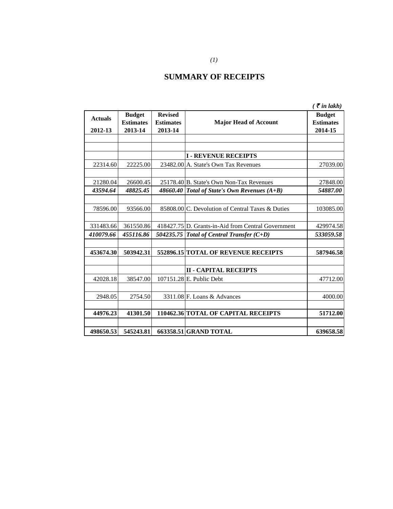# **SUMMARY OF RECEIPTS**

|                |                  |                  |                                                    | $\zeta$ $\bar{\zeta}$ in lakh) |
|----------------|------------------|------------------|----------------------------------------------------|--------------------------------|
| <b>Actuals</b> | <b>Budget</b>    | <b>Revised</b>   |                                                    | <b>Budget</b>                  |
|                | <b>Estimates</b> | <b>Estimates</b> | <b>Major Head of Account</b>                       | <b>Estimates</b>               |
| 2012-13        | 2013-14          | 2013-14          |                                                    | 2014-15                        |
|                |                  |                  |                                                    |                                |
|                |                  |                  | <b>I - REVENUE RECEIPTS</b>                        |                                |
| 22314.60       | 22225.00         |                  | 23482.00 A. State's Own Tax Revenues               | 27039.00                       |
|                |                  |                  |                                                    |                                |
| 21280.04       | 26600.45         |                  | 25178.40 B. State's Own Non-Tax Revenues           | 27848.00                       |
| 43594.64       | 48825.45         |                  | 48660.40 Total of State's Own Revenues $(A+B)$     | 54887.00                       |
|                |                  |                  |                                                    |                                |
| 78596.00       | 93566.00         |                  | 85808.00 C. Devolution of Central Taxes & Duties   | 103085.00                      |
|                |                  |                  |                                                    |                                |
| 331483.66      | 361550.86        |                  | 418427.75 D. Grants-in-Aid from Central Government | 429974.58                      |
| 410079.66      | 455116.86        |                  | 504235.75 Total of Central Transfer $(C+D)$        | 533059.58                      |
|                |                  |                  |                                                    |                                |
| 453674.30      | 503942.31        |                  | 552896.15 TOTAL OF REVENUE RECEIPTS                | 587946.58                      |
|                |                  |                  |                                                    |                                |
|                |                  |                  | <b>II - CAPITAL RECEIPTS</b>                       |                                |
| 42028.18       | 38547.00         |                  | 107151.28 E. Public Debt                           | 47712.00                       |
|                |                  |                  |                                                    |                                |
| 2948.05        | 2754.50          |                  | 3311.08 F. Loans & Advances                        | 4000.00                        |
|                |                  |                  |                                                    |                                |
| 44976.23       | 41301.50         |                  | 110462.36 TOTAL OF CAPITAL RECEIPTS                | 51712.00                       |
|                |                  |                  |                                                    |                                |
| 498650.53      | 545243.81        |                  | 663358.51 GRAND TOTAL                              | 639658.58                      |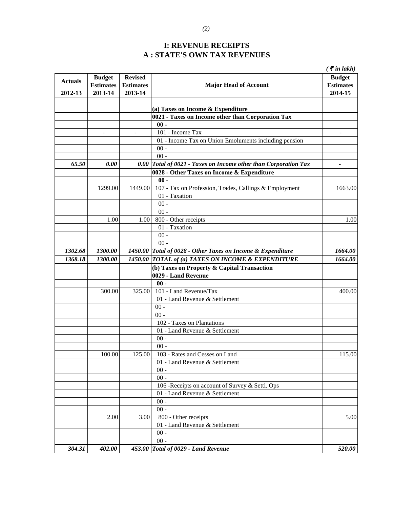## **I: REVENUE RECEIPTS A : STATE'S OWN TAX REVENUES**

|                |                  |                  |                                                                 | $\zeta$ $\bar{\zeta}$ in lakh) |
|----------------|------------------|------------------|-----------------------------------------------------------------|--------------------------------|
| <b>Actuals</b> | <b>Budget</b>    | <b>Revised</b>   |                                                                 | <b>Budget</b>                  |
|                | <b>Estimates</b> | <b>Estimates</b> | <b>Major Head of Account</b>                                    | <b>Estimates</b>               |
| 2012-13        | 2013-14          | 2013-14          |                                                                 | 2014-15                        |
|                |                  |                  |                                                                 |                                |
|                |                  |                  | (a) Taxes on Income & Expenditure                               |                                |
|                |                  |                  | 0021 - Taxes on Income other than Corporation Tax               |                                |
|                |                  |                  | $00 -$                                                          |                                |
|                |                  |                  | 101 - Income Tax                                                |                                |
|                |                  |                  | 01 - Income Tax on Union Emoluments including pension           |                                |
|                |                  |                  | $00 -$                                                          |                                |
|                |                  |                  | $00 -$                                                          |                                |
| 65.50          | 0.00             |                  | 0.00 Total of 0021 - Taxes on Income other than Corporation Tax | $\overline{a}$                 |
|                |                  |                  | 0028 - Other Taxes on Income & Expenditure                      |                                |
|                |                  |                  | $00 -$                                                          |                                |
|                | 1299.00          | 1449.00          | 107 - Tax on Profession, Trades, Callings & Employment          | 1663.00                        |
|                |                  |                  | 01 - Taxation                                                   |                                |
|                |                  |                  | $00 -$                                                          |                                |
|                |                  |                  | $00 -$                                                          |                                |
|                | 1.00             | 1.00             | 800 - Other receipts                                            | 1.00                           |
|                |                  |                  | 01 - Taxation                                                   |                                |
|                |                  |                  | $00 -$                                                          |                                |
|                |                  |                  | $00 -$                                                          |                                |
| 1302.68        | 1300.00          |                  | 1450.00 Total of 0028 - Other Taxes on Income & Expenditure     | 1664.00                        |
| 1368.18        | 1300.00          |                  | 1450.00 TOTAL of (a) TAXES ON INCOME & EXPENDITURE              | 1664.00                        |
|                |                  |                  | (b) Taxes on Property & Capital Transaction                     |                                |
|                |                  |                  | 0029 - Land Revenue                                             |                                |
|                |                  | 325.00           | $00 -$<br>101 - Land Revenue/Tax                                |                                |
|                | 300.00           |                  | 01 - Land Revenue & Settlement                                  | 400.00                         |
|                |                  |                  | $00 -$                                                          |                                |
|                |                  |                  | $00 -$                                                          |                                |
|                |                  |                  | 102 - Taxes on Plantations                                      |                                |
|                |                  |                  | 01 - Land Revenue & Settlement                                  |                                |
|                |                  |                  | $00 -$                                                          |                                |
|                |                  |                  | $00 -$                                                          |                                |
|                | 100.00           | 125.00           | 103 - Rates and Cesses on Land                                  | 115.00                         |
|                |                  |                  | 01 - Land Revenue & Settlement                                  |                                |
|                |                  |                  | $00 -$                                                          |                                |
|                |                  |                  | $00 -$                                                          |                                |
|                |                  |                  | 106 - Receipts on account of Survey & Settl. Ops                |                                |
|                |                  |                  | 01 - Land Revenue & Settlement                                  |                                |
|                |                  |                  | $00 -$                                                          |                                |
|                |                  |                  | $00 -$                                                          |                                |
|                | 2.00             | 3.00             | 800 - Other receipts                                            | 5.00                           |
|                |                  |                  | 01 - Land Revenue & Settlement                                  |                                |
|                |                  |                  | $00 -$                                                          |                                |
|                |                  |                  | $00 -$                                                          |                                |
| 304.31         | 402.00           |                  | 453.00 Total of 0029 - Land Revenue                             | 520.00                         |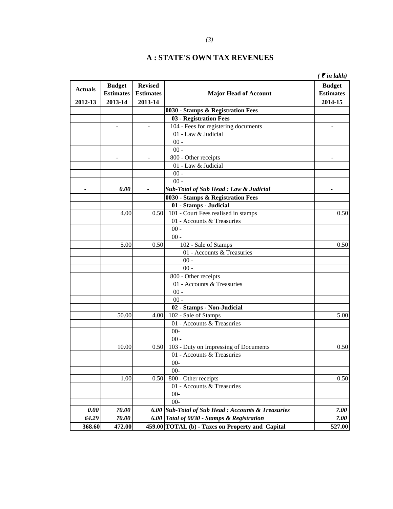|                          |                          |                  |                                                    | $\zeta$ $\bar{\zeta}$ in lakh) |
|--------------------------|--------------------------|------------------|----------------------------------------------------|--------------------------------|
| <b>Actuals</b>           | <b>Budget</b>            | <b>Revised</b>   |                                                    | <b>Budget</b>                  |
|                          | <b>Estimates</b>         | <b>Estimates</b> | <b>Major Head of Account</b>                       | <b>Estimates</b>               |
| 2012-13                  | 2013-14                  | 2013-14          |                                                    | 2014-15                        |
|                          |                          |                  | 0030 - Stamps & Registration Fees                  |                                |
|                          |                          |                  | 03 - Registration Fees                             |                                |
|                          | $\overline{\phantom{a}}$ | $\sim$           | 104 - Fees for registering documents               |                                |
|                          |                          |                  | 01 - Law & Judicial                                |                                |
|                          |                          |                  | $00 -$                                             |                                |
|                          |                          |                  | $00 -$                                             |                                |
|                          | ÷,                       | $\blacksquare$   | 800 - Other receipts                               |                                |
|                          |                          |                  | 01 - Law & Judicial                                |                                |
|                          |                          |                  | $00 -$                                             |                                |
|                          |                          |                  | $00 -$                                             |                                |
| $\overline{\phantom{a}}$ | 0.00                     | $\overline{a}$   | <b>Sub-Total of Sub Head : Law &amp; Judicial</b>  | $\blacksquare$                 |
|                          |                          |                  | 0030 - Stamps & Registration Fees                  |                                |
|                          |                          |                  | 01 - Stamps - Judicial                             |                                |
|                          | 4.00                     | 0.50             | 101 - Court Fees realised in stamps                | 0.50                           |
|                          |                          |                  | 01 - Accounts & Treasuries                         |                                |
|                          |                          |                  | $00 -$                                             |                                |
|                          |                          |                  | $00 -$                                             |                                |
|                          | 5.00                     | 0.50             | 102 - Sale of Stamps                               | 0.50                           |
|                          |                          |                  | 01 - Accounts & Treasuries                         |                                |
|                          |                          |                  | $00 -$                                             |                                |
|                          |                          |                  | $00 -$                                             |                                |
|                          |                          |                  | 800 - Other receipts                               |                                |
|                          |                          |                  | 01 - Accounts & Treasuries                         |                                |
|                          |                          |                  | $00 -$                                             |                                |
|                          |                          |                  | $00 -$                                             |                                |
|                          |                          |                  | 02 - Stamps - Non-Judicial                         |                                |
|                          | 50.00                    | 4.00             | 102 - Sale of Stamps                               | 5.00                           |
|                          |                          |                  | 01 - Accounts & Treasuries                         |                                |
|                          |                          |                  | $00-$                                              |                                |
|                          |                          |                  | $00 -$                                             |                                |
|                          | 10.00                    | 0.50             | 103 - Duty on Impressing of Documents              | 0.50                           |
|                          |                          |                  | 01 - Accounts & Treasuries                         |                                |
|                          |                          |                  |                                                    |                                |
|                          |                          |                  | $00 -$<br>$00-$                                    |                                |
|                          |                          |                  | 800 - Other receipts                               |                                |
|                          | 1.00                     | 0.50             | 01 - Accounts & Treasuries                         | 0.50                           |
|                          |                          |                  | $00 -$                                             |                                |
|                          |                          |                  |                                                    |                                |
|                          |                          |                  | $00-$                                              |                                |
| 0.00                     | 70.00                    |                  | 6.00 Sub-Total of Sub Head : Accounts & Treasuries | 7.00                           |
| 64.29                    | 70.00                    |                  | 6.00 Total of 0030 - Stamps & Registration         | 7.00                           |
| 368.60                   | 472.00                   |                  | 459.00 TOTAL (b) - Taxes on Property and Capital   | 527.00                         |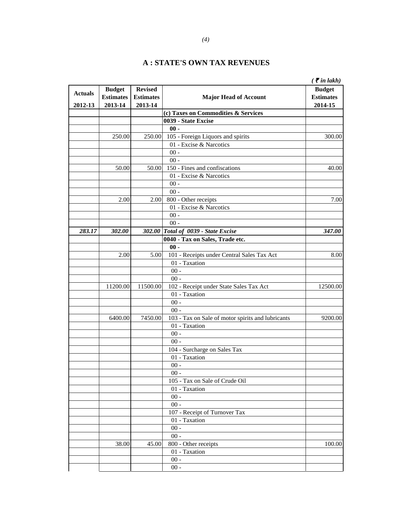|                |                  |                  |                                                   | $\zeta$ $\bar{\zeta}$ in lakh) |
|----------------|------------------|------------------|---------------------------------------------------|--------------------------------|
| <b>Actuals</b> | <b>Budget</b>    | <b>Revised</b>   |                                                   | <b>Budget</b>                  |
|                | <b>Estimates</b> | <b>Estimates</b> | <b>Major Head of Account</b>                      | <b>Estimates</b>               |
| 2012-13        | 2013-14          | 2013-14          |                                                   | 2014-15                        |
|                |                  |                  | (c) Taxes on Commodities & Services               |                                |
|                |                  |                  | 0039 - State Excise                               |                                |
|                |                  |                  | $00 -$                                            |                                |
|                | 250.00           | 250.00           | 105 - Foreign Liquors and spirits                 | 300.00                         |
|                |                  |                  | 01 - Excise & Narcotics                           |                                |
|                |                  |                  | $00 -$                                            |                                |
|                |                  |                  | $00 -$                                            |                                |
|                | 50.00            | 50.00            | 150 - Fines and confiscations                     | 40.00                          |
|                |                  |                  | 01 - Excise & Narcotics                           |                                |
|                |                  |                  | $00 -$                                            |                                |
|                |                  |                  | $00 -$                                            |                                |
|                | 2.00             | 2.00             | 800 - Other receipts                              | 7.00                           |
|                |                  |                  | 01 - Excise & Narcotics                           |                                |
|                |                  |                  | $00 -$                                            |                                |
| 283.17         | 302.00           |                  | $00 -$<br>302.00 Total of 0039 - State Excise     | 347.00                         |
|                |                  |                  | 0040 - Tax on Sales, Trade etc.                   |                                |
|                |                  |                  | $00 -$                                            |                                |
|                | 2.00             | 5.00             | 101 - Receipts under Central Sales Tax Act        | 8.00                           |
|                |                  |                  | 01 - Taxation                                     |                                |
|                |                  |                  | $00 -$                                            |                                |
|                |                  |                  | $00 -$                                            |                                |
|                | 11200.00         | 11500.00         | 102 - Receipt under State Sales Tax Act           | 12500.00                       |
|                |                  |                  | 01 - Taxation                                     |                                |
|                |                  |                  | $00 -$                                            |                                |
|                |                  |                  | $00 -$                                            |                                |
|                | 6400.00          | 7450.00          | 103 - Tax on Sale of motor spirits and lubricants | 9200.00                        |
|                |                  |                  | 01 - Taxation                                     |                                |
|                |                  |                  | $00 -$                                            |                                |
|                |                  |                  | $00 -$                                            |                                |
|                |                  |                  | 104 - Surcharge on Sales Tax                      |                                |
|                |                  |                  | 01 - Taxation                                     |                                |
|                |                  |                  | $00 -$                                            |                                |
|                |                  |                  | $00 -$                                            |                                |
|                |                  |                  | 105 - Tax on Sale of Crude Oil                    |                                |
|                |                  |                  | 01 - Taxation                                     |                                |
|                |                  |                  | $00 -$                                            |                                |
|                |                  |                  | $00 -$                                            |                                |
|                |                  |                  | 107 - Receipt of Turnover Tax                     |                                |
|                |                  |                  | 01 - Taxation                                     |                                |
|                |                  |                  | $00 -$                                            |                                |
|                |                  |                  | $00 -$                                            |                                |
|                | 38.00            | 45.00            | 800 - Other receipts                              | 100.00                         |
|                |                  |                  | 01 - Taxation                                     |                                |
|                |                  |                  | $00$ -                                            |                                |
|                |                  |                  | $00 -$                                            |                                |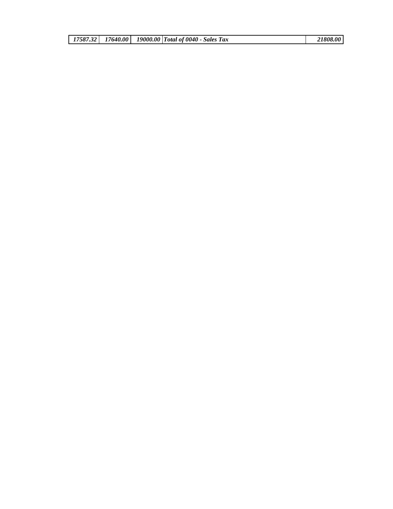|  |  | 17587.32   17640.00   19000.00   Total of 0040 - Sales Tax | 21808.00 |
|--|--|------------------------------------------------------------|----------|
|  |  |                                                            |          |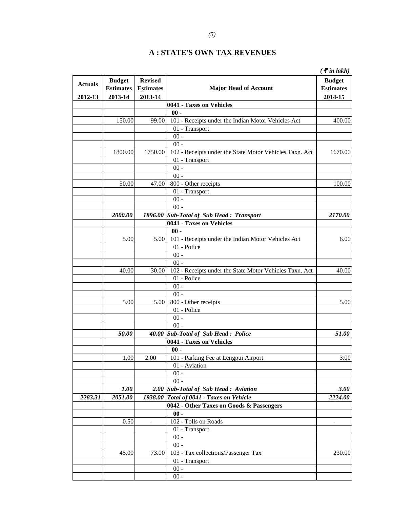|                |                  |                  |                                                         | $\zeta$ $\bar{\zeta}$ in lakh) |
|----------------|------------------|------------------|---------------------------------------------------------|--------------------------------|
|                | <b>Budget</b>    | <b>Revised</b>   |                                                         | <b>Budget</b>                  |
| <b>Actuals</b> | <b>Estimates</b> | <b>Estimates</b> | <b>Major Head of Account</b>                            | <b>Estimates</b>               |
| 2012-13        | 2013-14          | 2013-14          |                                                         | 2014-15                        |
|                |                  |                  | 0041 - Taxes on Vehicles                                |                                |
|                |                  |                  | $00 -$                                                  |                                |
|                | 150.00           | 99.00            | 101 - Receipts under the Indian Motor Vehicles Act      | 400.00                         |
|                |                  |                  | 01 - Transport                                          |                                |
|                |                  |                  | $00 -$                                                  |                                |
|                |                  |                  | $00 -$                                                  |                                |
|                | 1800.00          | 1750.00          | 102 - Receipts under the State Motor Vehicles Taxn. Act | 1670.00                        |
|                |                  |                  | 01 - Transport                                          |                                |
|                |                  |                  | $00 -$                                                  |                                |
|                |                  |                  | $00 -$                                                  |                                |
|                | 50.00            | 47.00            | 800 - Other receipts                                    | 100.00                         |
|                |                  |                  | 01 - Transport                                          |                                |
|                |                  |                  | $00 -$                                                  |                                |
|                |                  |                  | $00 -$                                                  |                                |
|                | 2000.00          |                  | 1896.00 Sub-Total of Sub Head: Transport                | 2170.00                        |
|                |                  |                  | 0041 - Taxes on Vehicles                                |                                |
|                |                  |                  | $00 -$                                                  |                                |
|                | 5.00             | 5.00             | 101 - Receipts under the Indian Motor Vehicles Act      | 6.00                           |
|                |                  |                  | 01 - Police                                             |                                |
|                |                  |                  | $00 -$                                                  |                                |
|                |                  |                  | $00 -$                                                  |                                |
|                | 40.00            | 30.00            | 102 - Receipts under the State Motor Vehicles Taxn. Act | 40.00                          |
|                |                  |                  | 01 - Police                                             |                                |
|                |                  |                  | $00 -$                                                  |                                |
|                |                  |                  | $00 -$                                                  |                                |
|                | 5.00             | 5.00             | 800 - Other receipts                                    | 5.00                           |
|                |                  |                  | 01 - Police                                             |                                |
|                |                  |                  | $00 -$                                                  |                                |
|                |                  |                  | $00 -$                                                  |                                |
|                | 50.00            |                  | 40.00 Sub-Total of Sub Head: Police                     | 51.00                          |
|                |                  |                  | 0041 - Taxes on Vehicles                                |                                |
|                |                  |                  | $00 -$                                                  |                                |
|                | 1.00             | 2.00             | 101 - Parking Fee at Lengpui Airport                    | 3.00                           |
|                |                  |                  | 01 - Aviation                                           |                                |
|                |                  |                  | $00$ -                                                  |                                |
|                |                  |                  | $00 -$                                                  |                                |
|                | 1.00             |                  | 2.00 Sub-Total of Sub Head: Aviation                    | 3.00                           |
| 2283.31        | 2051.00          |                  | 1938.00 Total of 0041 - Taxes on Vehicle                | 2224.00                        |
|                |                  |                  | 0042 - Other Taxes on Goods & Passengers                |                                |
|                |                  |                  | $00 -$                                                  |                                |
|                | 0.50             | $\overline{a}$   | 102 - Tolls on Roads                                    |                                |
|                |                  |                  | 01 - Transport                                          |                                |
|                |                  |                  | $00 -$                                                  |                                |
|                |                  |                  | $00 -$                                                  |                                |
|                | 45.00            | 73.00            | 103 - Tax collections/Passenger Tax                     | 230.00                         |
|                |                  |                  | 01 - Transport                                          |                                |
|                |                  |                  | $00 -$                                                  |                                |
|                |                  |                  | $00 -$                                                  |                                |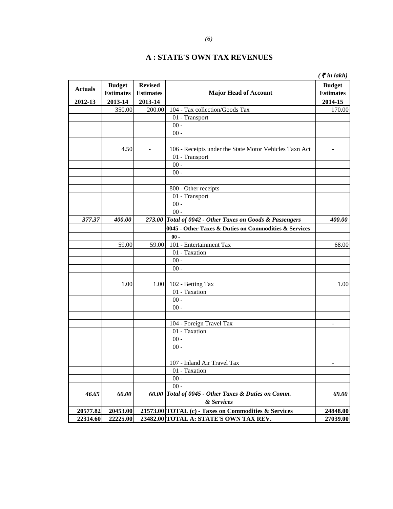|                |                  |                  |                                                          | $\zeta$ $\bar{\zeta}$ in lakh) |
|----------------|------------------|------------------|----------------------------------------------------------|--------------------------------|
| <b>Actuals</b> | <b>Budget</b>    | <b>Revised</b>   |                                                          | <b>Budget</b>                  |
|                | <b>Estimates</b> | <b>Estimates</b> | <b>Major Head of Account</b>                             | <b>Estimates</b>               |
| 2012-13        | 2013-14          | 2013-14          |                                                          | 2014-15                        |
|                | 350.00           | 200.00           | 104 - Tax collection/Goods Tax                           | 170.00                         |
|                |                  |                  | 01 - Transport                                           |                                |
|                |                  |                  | $00 -$                                                   |                                |
|                |                  |                  | $00 -$                                                   |                                |
|                |                  |                  |                                                          |                                |
|                | 4.50             | $\mathbf{r}$     | 106 - Receipts under the State Motor Vehicles Taxn Act   | $\overline{a}$                 |
|                |                  |                  | 01 - Transport                                           |                                |
|                |                  |                  | $00 -$                                                   |                                |
|                |                  |                  | $00 -$                                                   |                                |
|                |                  |                  |                                                          |                                |
|                |                  |                  | 800 - Other receipts                                     |                                |
|                |                  |                  | 01 - Transport                                           |                                |
|                |                  |                  | $00 -$                                                   |                                |
|                |                  |                  | $00 -$                                                   |                                |
| 377.37         | 400.00           |                  | 273.00 Total of 0042 - Other Taxes on Goods & Passengers | 400.00                         |
|                |                  |                  | 0045 - Other Taxes & Duties on Commodities & Services    |                                |
|                |                  |                  | $00 -$                                                   |                                |
|                | 59.00            | 59.00            | 101 - Entertainment Tax                                  |                                |
|                |                  |                  |                                                          | 68.00                          |
|                |                  |                  | 01 - Taxation                                            |                                |
|                |                  |                  | $00 -$                                                   |                                |
|                |                  |                  | $00 -$                                                   |                                |
|                | 1.00             |                  |                                                          | 1.00                           |
|                |                  | 1.00             | 102 - Betting Tax<br>01 - Taxation                       |                                |
|                |                  |                  |                                                          |                                |
|                |                  |                  | $00 -$                                                   |                                |
|                |                  |                  | $00 -$                                                   |                                |
|                |                  |                  |                                                          |                                |
|                |                  |                  | 104 - Foreign Travel Tax                                 |                                |
|                |                  |                  | 01 - Taxation                                            |                                |
|                |                  |                  | $00 -$                                                   |                                |
|                |                  |                  | $00 -$                                                   |                                |
|                |                  |                  |                                                          |                                |
|                |                  |                  | 107 - Inland Air Travel Tax                              |                                |
|                |                  |                  | 01 - Taxation                                            |                                |
|                |                  |                  | $00 -$                                                   |                                |
|                |                  |                  | $00 -$                                                   |                                |
| 46.65          | 60.00            |                  | 60.00 Total of 0045 - Other Taxes & Duties on Comm.      | 69.00                          |
|                |                  |                  | & Services                                               |                                |
| 20577.82       | 20453.00         |                  | 21573.00 TOTAL (c) - Taxes on Commodities & Services     | 24848.00                       |
| 22314.60       | 22225.00         |                  | 23482.00 TOTAL A: STATE'S OWN TAX REV.                   | 27039.00                       |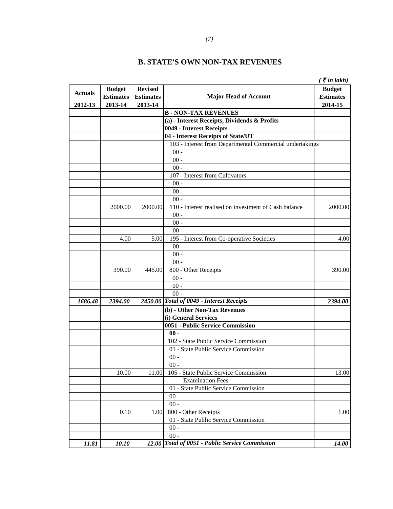|                |                  |                  |                                                          | $\zeta$ $\bar{\zeta}$ in lakh) |
|----------------|------------------|------------------|----------------------------------------------------------|--------------------------------|
| <b>Actuals</b> | <b>Budget</b>    | <b>Revised</b>   |                                                          | <b>Budget</b>                  |
|                | <b>Estimates</b> | <b>Estimates</b> | <b>Major Head of Account</b>                             | <b>Estimates</b>               |
| 2012-13        | 2013-14          | 2013-14          |                                                          | 2014-15                        |
|                |                  |                  | <b>B-NON-TAX REVENUES</b>                                |                                |
|                |                  |                  | (a) - Interest Receipts, Dividends & Profits             |                                |
|                |                  |                  | 0049 - Interest Receipts                                 |                                |
|                |                  |                  | 04 - Interest Receipts of State/UT                       |                                |
|                |                  |                  | 103 - Interest from Departmental Commercial undertakings |                                |
|                |                  |                  | $00 -$                                                   |                                |
|                |                  |                  | $00 -$                                                   |                                |
|                |                  |                  | $00 -$                                                   |                                |
|                |                  |                  | 107 - Interest from Cultivators                          |                                |
|                |                  |                  | $00 -$                                                   |                                |
|                |                  |                  | $00 -$                                                   |                                |
|                |                  |                  | $00 -$                                                   |                                |
|                | 2000.00          | 2000.00          | 110 - Interest realised on investment of Cash balance    | 2000.00                        |
|                |                  |                  | $00 -$                                                   |                                |
|                |                  |                  | $00 -$                                                   |                                |
|                |                  |                  | $00 -$                                                   |                                |
|                | 4.00             | 5.00             | 195 - Interest from Co-operative Societies               | 4.00                           |
|                |                  |                  | $00 -$                                                   |                                |
|                |                  |                  | $00 -$                                                   |                                |
|                |                  |                  | $00 -$                                                   |                                |
|                | 390.00           | 445.00           | 800 - Other Receipts                                     | 390.00                         |
|                |                  |                  | $00 -$                                                   |                                |
|                |                  |                  | $00 -$                                                   |                                |
|                |                  |                  | $00 -$                                                   |                                |
| 1686.48        | 2394.00          |                  | 2450.00 Total of 0049 - Interest Receipts                | 2394.00                        |
|                |                  |                  | (b) - Other Non-Tax Revenues                             |                                |
|                |                  |                  | (i) General Services                                     |                                |
|                |                  |                  | 0051 - Public Service Commission                         |                                |
|                |                  |                  | $00 -$                                                   |                                |
|                |                  |                  | 102 - State Public Service Commission                    |                                |
|                |                  |                  | 01 - State Public Service Commission                     |                                |
|                |                  |                  | $00 -$                                                   |                                |
|                |                  |                  | $00 -$                                                   |                                |
|                | 10.00            | 11.00            | 105 - State Public Service Commission                    | 13.00                          |
|                |                  |                  | <b>Examination Fees</b>                                  |                                |
|                |                  |                  | 01 - State Public Service Commission                     |                                |
|                |                  |                  | $00 -$                                                   |                                |
|                |                  |                  | $00 -$                                                   |                                |
|                | 0.10             | 1.00             | 800 - Other Receipts                                     | 1.00                           |
|                |                  |                  | 01 - State Public Service Commission                     |                                |
|                |                  |                  | $00 -$                                                   |                                |
|                |                  |                  | $00 -$                                                   |                                |
| 11.81          | 10.10            | 12.00            | <b>Total of 0051 - Public Service Commission</b>         | 14.00                          |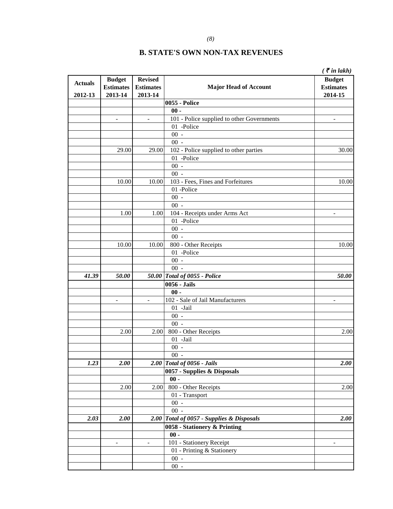|                |                          |                  |                                            | $\zeta$ $\bar{\zeta}$ in lakh) |
|----------------|--------------------------|------------------|--------------------------------------------|--------------------------------|
|                | <b>Budget</b>            | <b>Revised</b>   |                                            | <b>Budget</b>                  |
| <b>Actuals</b> | <b>Estimates</b>         | <b>Estimates</b> | <b>Major Head of Account</b>               | <b>Estimates</b>               |
| 2012-13        | 2013-14                  | 2013-14          |                                            | 2014-15                        |
|                |                          |                  | <b>0055 - Police</b>                       |                                |
|                |                          |                  | $00 -$                                     |                                |
|                |                          | $\mathbf{r}$     | 101 - Police supplied to other Governments |                                |
|                |                          |                  | 01 -Police                                 |                                |
|                |                          |                  | $00 -$                                     |                                |
|                |                          |                  | $00 -$                                     |                                |
|                | 29.00                    | 29.00            | 102 - Police supplied to other parties     | 30.00                          |
|                |                          |                  | 01 -Police                                 |                                |
|                |                          |                  | $00 -$                                     |                                |
|                |                          |                  | $00 -$                                     |                                |
|                | 10.00                    | 10.00            | 103 - Fees, Fines and Forfeitures          | 10.00                          |
|                |                          |                  | 01-Police                                  |                                |
|                |                          |                  | $00 -$                                     |                                |
|                |                          |                  | $00 -$                                     |                                |
|                | 1.00                     | 1.00             | 104 - Receipts under Arms Act              | $\overline{\phantom{a}}$       |
|                |                          |                  | 01 -Police                                 |                                |
|                |                          |                  | $00 -$                                     |                                |
|                |                          |                  | $00 -$                                     |                                |
|                | 10.00                    | 10.00            | 800 - Other Receipts                       | 10.00                          |
|                |                          |                  | 01 -Police                                 |                                |
|                |                          |                  | $00 -$                                     |                                |
|                |                          |                  | $00 -$                                     |                                |
| 41.39          | 50.00                    |                  | 50.00 Total of 0055 - Police               | 50.00                          |
|                |                          |                  | 0056 - Jails                               |                                |
|                |                          |                  | $00 -$                                     |                                |
|                | $\overline{\phantom{a}}$ | $\overline{a}$   | 102 - Sale of Jail Manufacturers           |                                |
|                |                          |                  | 01 -Jail                                   |                                |
|                |                          |                  | $00 -$                                     |                                |
|                |                          |                  | $00 -$                                     |                                |
|                | 2.00                     | 2.00             | 800 - Other Receipts                       | 2.00                           |
|                |                          |                  | 01 -Jail                                   |                                |
|                |                          |                  | $00 -$                                     |                                |
|                |                          |                  | $00\,$ -                                   |                                |
| 1.23           | 2.00                     | <b>2.00</b>      | Total of 0056 - Jails                      | 2.00                           |
|                |                          |                  | 0057 - Supplies & Disposals                |                                |
|                |                          |                  | $00 -$                                     |                                |
|                | 2.00                     | 2.00             | 800 - Other Receipts                       | 2.00                           |
|                |                          |                  | 01 - Transport                             |                                |
|                |                          |                  | $00 -$                                     |                                |
|                |                          |                  | $00 -$                                     |                                |
| 2.03           | 2.00                     |                  | 2.00 Total of 0057 - Supplies & Disposals  | 2.00                           |
|                |                          |                  | 0058 - Stationery & Printing               |                                |
|                |                          |                  | $00 -$                                     |                                |
|                | $\overline{\phantom{a}}$ | $\blacksquare$   | 101 - Stationery Receipt                   | ÷                              |
|                |                          |                  | 01 - Printing & Stationery                 |                                |
|                |                          |                  | $00 -$                                     |                                |
|                |                          |                  | $00 -$                                     |                                |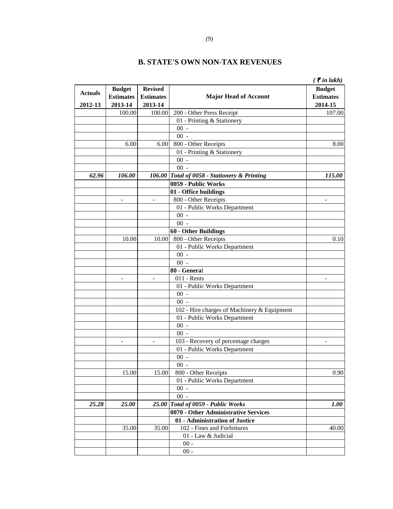|                |                          |                          |                                              | ( $\bar{\tau}$ in lakh)  |
|----------------|--------------------------|--------------------------|----------------------------------------------|--------------------------|
|                | <b>Budget</b>            | <b>Revised</b>           |                                              | <b>Budget</b>            |
| <b>Actuals</b> | <b>Estimates</b>         | <b>Estimates</b>         | <b>Major Head of Account</b>                 | <b>Estimates</b>         |
| 2012-13        | 2013-14                  | 2013-14                  |                                              | 2014-15                  |
|                | 100.00                   | 100.00                   | 200 - Other Press Receipt                    | 107.00                   |
|                |                          |                          | 01 - Printing & Stationery                   |                          |
|                |                          |                          | $00 -$                                       |                          |
|                |                          |                          | $00 -$                                       |                          |
|                | 6.00                     | 6.00                     | 800 - Other Receipts                         | 8.00                     |
|                |                          |                          | 01 - Printing & Stationery                   |                          |
|                |                          |                          | $00 -$                                       |                          |
|                |                          |                          | $00 -$                                       |                          |
| 62.96          | 106.00                   |                          | 106.00 Total of 0058 - Stationery & Printing | 115.00                   |
|                |                          |                          | 0059 - Public Works                          |                          |
|                |                          |                          | 01 - Office buildings                        |                          |
|                | $\overline{a}$           | $\overline{\phantom{a}}$ | 800 - Other Receipts                         | $\overline{\phantom{a}}$ |
|                |                          |                          | 01 - Public Works Department                 |                          |
|                |                          |                          | $00 -$                                       |                          |
|                |                          |                          | $00 -$                                       |                          |
|                |                          |                          | <b>60 - Other Buildings</b>                  |                          |
|                | 10.00                    | 10.00                    | 800 - Other Receipts                         | 0.10                     |
|                |                          |                          | 01 - Public Works Department                 |                          |
|                |                          |                          | $00 -$                                       |                          |
|                |                          |                          | $00 -$                                       |                          |
|                |                          |                          | 80 - General                                 |                          |
|                | L.                       | $\sim$                   | $011$ - Rents                                | $\sim$                   |
|                |                          |                          | 01 - Public Works Department                 |                          |
|                |                          |                          | $00 -$                                       |                          |
|                |                          |                          | $00 -$                                       |                          |
|                |                          |                          | 102 - Hire charges of Machinery & Equipment  |                          |
|                |                          |                          | 01 - Public Works Department                 |                          |
|                |                          |                          | $00 -$                                       |                          |
|                |                          |                          | $00 -$                                       |                          |
|                | $\overline{\phantom{0}}$ |                          | 103 - Recovery of percentage charges         | $\overline{\phantom{a}}$ |
|                |                          |                          | 01 - Public Works Department                 |                          |
|                |                          |                          | $00 -$                                       |                          |
|                |                          |                          | $00 -$                                       |                          |
|                | 15.00                    | 15.00                    | 800 - Other Receipts                         | 0.90                     |
|                |                          |                          | 01 - Public Works Department                 |                          |
|                |                          |                          | $00 -$                                       |                          |
|                |                          |                          | $00 -$                                       |                          |
| 25.28          | 25.00                    | 25.00                    | Total of 0059 - Public Works                 | 1.00                     |
|                |                          |                          | 0070 - Other Administrative Services         |                          |
|                |                          |                          | 01 - Administration of Justice               |                          |
|                | 35.00                    | 35.00                    | 102 - Fines and Forfeitures                  | 40.00                    |
|                |                          |                          | 01 - Law & Judicial                          |                          |
|                |                          |                          | $00 -$                                       |                          |
|                |                          |                          | $00 -$                                       |                          |
|                |                          |                          |                                              |                          |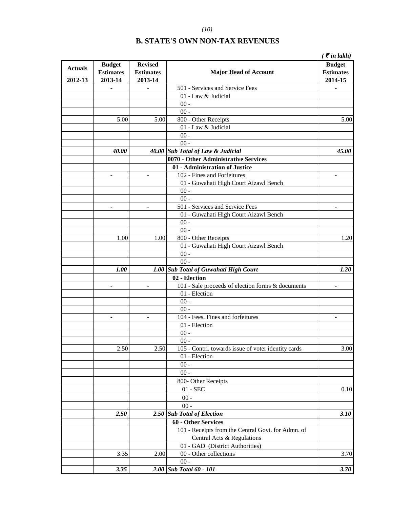|                           |                                              |                                               |                                                     | $\zeta$ $\bar{\zeta}$ in lakh)               |
|---------------------------|----------------------------------------------|-----------------------------------------------|-----------------------------------------------------|----------------------------------------------|
| <b>Actuals</b><br>2012-13 | <b>Budget</b><br><b>Estimates</b><br>2013-14 | <b>Revised</b><br><b>Estimates</b><br>2013-14 | <b>Major Head of Account</b>                        | <b>Budget</b><br><b>Estimates</b><br>2014-15 |
|                           | -                                            | $\overline{a}$                                | 501 - Services and Service Fees                     |                                              |
|                           |                                              |                                               | 01 - Law & Judicial                                 |                                              |
|                           |                                              |                                               | $00 -$                                              |                                              |
|                           |                                              |                                               | $00 -$                                              |                                              |
|                           | 5.00                                         | 5.00                                          | 800 - Other Receipts                                | 5.00                                         |
|                           |                                              |                                               | 01 - Law & Judicial                                 |                                              |
|                           |                                              |                                               | $00 -$                                              |                                              |
|                           |                                              |                                               | $00 -$                                              |                                              |
|                           | 40.00                                        |                                               | 40.00 Sub Total of Law & Judicial                   | 45.00                                        |
|                           |                                              |                                               | 0070 - Other Administrative Services                |                                              |
|                           |                                              |                                               | 01 - Administration of Justice                      |                                              |
|                           | $\overline{\phantom{0}}$                     | $\overline{\phantom{a}}$                      | 102 - Fines and Forfeitures                         |                                              |
|                           |                                              |                                               | 01 - Guwahati High Court Aizawl Bench               |                                              |
|                           |                                              |                                               | $00 -$                                              |                                              |
|                           |                                              |                                               | $00 -$                                              |                                              |
|                           |                                              |                                               | 501 - Services and Service Fees                     |                                              |
|                           |                                              |                                               | 01 - Guwahati High Court Aizawl Bench               |                                              |
|                           |                                              |                                               | $00 -$                                              |                                              |
|                           |                                              |                                               | $00 -$                                              |                                              |
|                           | 1.00                                         | 1.00                                          | 800 - Other Receipts                                | 1.20                                         |
|                           |                                              |                                               | 01 - Guwahati High Court Aizawl Bench               |                                              |
|                           |                                              |                                               | $00 -$                                              |                                              |
|                           |                                              |                                               | $00 -$                                              |                                              |
|                           | 1.00                                         |                                               | 1.00 Sub Total of Guwahati High Court               | 1.20                                         |
|                           |                                              |                                               | 02 - Election                                       |                                              |
|                           | -                                            | $\overline{\phantom{0}}$                      | 101 - Sale proceeds of election forms & documents   | $\qquad \qquad \blacksquare$                 |
|                           |                                              |                                               | 01 - Election                                       |                                              |
|                           |                                              |                                               | $00 -$                                              |                                              |
|                           |                                              |                                               | $00 -$                                              |                                              |
|                           | $\overline{\phantom{m}}$                     | $\overline{\phantom{a}}$                      | 104 - Fees, Fines and forfeitures                   | $\overline{\phantom{a}}$                     |
|                           |                                              |                                               | 01 - Election                                       |                                              |
|                           |                                              |                                               | $00 -$                                              |                                              |
|                           |                                              |                                               | $00 -$                                              |                                              |
|                           | 2.50                                         | 2.50                                          | 105 - Contri. towards issue of voter identity cards | 3.00                                         |
|                           |                                              |                                               | 01 - Election                                       |                                              |
|                           |                                              |                                               | $00 -$                                              |                                              |
|                           |                                              |                                               | $00 -$                                              |                                              |
|                           |                                              |                                               | 800- Other Receipts                                 |                                              |
|                           |                                              |                                               | $01 - \text{SEC}$                                   | 0.10                                         |
|                           |                                              |                                               |                                                     |                                              |
|                           |                                              |                                               | $00 -$                                              |                                              |
|                           |                                              |                                               | $00 -$                                              |                                              |
|                           | 2.50                                         |                                               | 2.50 Sub Total of Election                          | 3.10                                         |
|                           |                                              |                                               | <b>60 - Other Services</b>                          |                                              |
|                           |                                              |                                               | 101 - Receipts from the Central Govt. for Admn. of  |                                              |
|                           |                                              |                                               | Central Acts & Regulations                          |                                              |
|                           |                                              |                                               | 01 - GAD (District Authorities)                     |                                              |
|                           | 3.35                                         | 2.00                                          | 00 - Other collections                              | 3.70                                         |
|                           |                                              |                                               | $00 -$                                              |                                              |
|                           | 3.35                                         | 2.00                                          | <b>Sub Total 60 - 101</b>                           | 3.70                                         |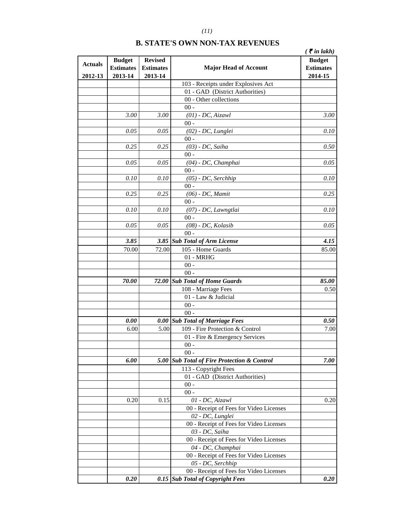|                |                                   |                                    |                                             | $\zeta$ $\bar{\zeta}$ in lakh)    |
|----------------|-----------------------------------|------------------------------------|---------------------------------------------|-----------------------------------|
| <b>Actuals</b> | <b>Budget</b><br><b>Estimates</b> | <b>Revised</b><br><b>Estimates</b> | <b>Major Head of Account</b>                | <b>Budget</b><br><b>Estimates</b> |
| 2012-13        | 2013-14                           | 2013-14                            |                                             | 2014-15                           |
|                |                                   |                                    | 103 - Receipts under Explosives Act         |                                   |
|                |                                   |                                    | 01 - GAD (District Authorities)             |                                   |
|                |                                   |                                    | 00 - Other collections                      |                                   |
|                |                                   |                                    | $00 -$                                      |                                   |
|                | 3.00                              | 3.00                               | $(01)$ - DC, Aizawl                         | 3.00                              |
|                | 0.05                              | 0.05                               | $00 -$                                      | 0.10                              |
|                |                                   |                                    | $(02)$ - DC, Lunglei<br>$00 -$              |                                   |
|                | 0.25                              | 0.25                               | $(03)$ - DC, Saiha                          | 0.50                              |
|                |                                   |                                    | $00 -$                                      |                                   |
|                | 0.05                              | 0.05                               | $(04)$ - DC, Champhai                       | 0.05                              |
|                |                                   |                                    | $00 -$                                      |                                   |
|                | 0.10                              | 0.10                               | $(05)$ - DC, Serchhip                       | 0.10                              |
|                |                                   |                                    | $00 -$                                      |                                   |
|                | 0.25                              | 0.25                               | $(06)$ - DC, Mamit                          | 0.25                              |
|                |                                   |                                    | $00 -$                                      |                                   |
|                | 0.10                              | 0.10                               | (07) - DC, Lawngtlai                        | 0.10                              |
|                |                                   |                                    | $00 -$                                      |                                   |
|                | 0.05                              | 0.05                               | $(08)$ - DC, Kolasib                        | 0.05                              |
|                |                                   |                                    | $00 -$                                      |                                   |
|                | 3.85                              |                                    | 3.85 Sub Total of Arm License               | 4.15                              |
|                | 70.00                             | 72.00                              | 105 - Home Guards                           | 85.00                             |
|                |                                   |                                    | $01 - MRHG$                                 |                                   |
|                |                                   |                                    | $00 -$                                      |                                   |
|                |                                   |                                    | $00 -$                                      |                                   |
|                | 70.00                             | 72.00                              | <b>Sub Total of Home Guards</b>             | 85.00                             |
|                |                                   |                                    | 108 - Marriage Fees                         | 0.50                              |
|                |                                   |                                    | 01 - Law & Judicial                         |                                   |
|                |                                   |                                    | $00 -$                                      |                                   |
|                |                                   |                                    | $00 -$                                      |                                   |
|                | 0.00                              | 0.00                               | <b>Sub Total of Marriage Fees</b>           | 0.50                              |
|                | 6.00                              | 5.00                               | 109 - Fire Protection & Control             | 7.00                              |
|                |                                   |                                    | 01 - Fire & Emergency Services              |                                   |
|                |                                   |                                    | $00 -$                                      |                                   |
|                |                                   |                                    | $00 -$                                      |                                   |
|                | 6.00                              |                                    | 5.00 Sub Total of Fire Protection & Control | 7.00                              |
|                |                                   |                                    | 113 - Copyright Fees                        |                                   |
|                |                                   |                                    | 01 - GAD (District Authorities)             |                                   |
|                |                                   |                                    | $00 -$                                      |                                   |
|                |                                   |                                    | $00 -$                                      |                                   |
|                | 0.20                              | 0.15                               | 01 - DC, Aizawl                             | 0.20                              |
|                |                                   |                                    | 00 - Receipt of Fees for Video Licenses     |                                   |
|                |                                   |                                    | 02 - DC, Lunglei                            |                                   |
|                |                                   |                                    | 00 - Receipt of Fees for Video Licenses     |                                   |
|                |                                   |                                    | 03 - DC, Saiha                              |                                   |
|                |                                   |                                    | 00 - Receipt of Fees for Video Licenses     |                                   |
|                |                                   |                                    | 04 - DC, Champhai                           |                                   |
|                |                                   |                                    | 00 - Receipt of Fees for Video Licenses     |                                   |
|                |                                   |                                    | 05 - DC, Serchhip                           |                                   |
|                |                                   |                                    | 00 - Receipt of Fees for Video Licenses     |                                   |
|                | 0.20                              | 0.15                               | <b>Sub Total of Copyright Fees</b>          | 0.20                              |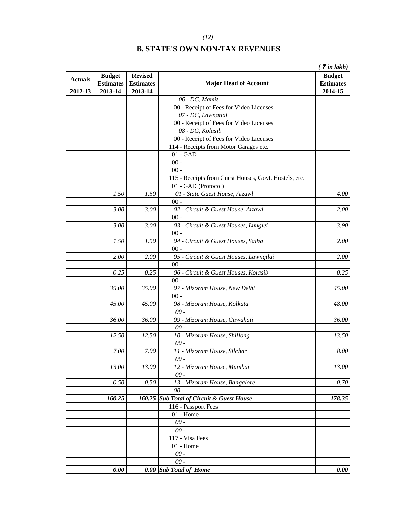|                |                  |                  |                                                       | $\zeta$ $\bar{\zeta}$ in lakh) |
|----------------|------------------|------------------|-------------------------------------------------------|--------------------------------|
| <b>Actuals</b> | <b>Budget</b>    | <b>Revised</b>   |                                                       | <b>Budget</b>                  |
|                | <b>Estimates</b> | <b>Estimates</b> | <b>Major Head of Account</b>                          | <b>Estimates</b>               |
| 2012-13        | 2013-14          | 2013-14          |                                                       | 2014-15                        |
|                |                  |                  | 06 - DC, Mamit                                        |                                |
|                |                  |                  | 00 - Receipt of Fees for Video Licenses               |                                |
|                |                  |                  | 07 - DC, Lawngtlai                                    |                                |
|                |                  |                  | 00 - Receipt of Fees for Video Licenses               |                                |
|                |                  |                  | 08 - DC, Kolasib                                      |                                |
|                |                  |                  | 00 - Receipt of Fees for Video Licenses               |                                |
|                |                  |                  | 114 - Receipts from Motor Garages etc.                |                                |
|                |                  |                  | $01 - GAD$                                            |                                |
|                |                  |                  | $00 -$                                                |                                |
|                |                  |                  | $00 -$                                                |                                |
|                |                  |                  | 115 - Receipts from Guest Houses, Govt. Hostels, etc. |                                |
|                |                  |                  | 01 - GAD (Protocol)                                   |                                |
|                | 1.50             | 1.50             | 01 - State Guest House, Aizawl<br>$00 -$              | 4.00                           |
|                | 3.00             | 3.00             | 02 - Circuit & Guest House, Aizawl                    | <i>2.00</i>                    |
|                |                  |                  | $00 -$                                                |                                |
|                | 3.00             | 3.00             | 03 - Circuit & Guest Houses, Lunglei                  | 3.90                           |
|                |                  |                  | $00 -$                                                |                                |
|                | 1.50             | 1.50             | 04 - Circuit & Guest Houses, Saiha                    | <b>2.00</b>                    |
|                |                  |                  | $00 -$                                                |                                |
|                | 2.00             | 2.00             | 05 - Circuit & Guest Houses, Lawngtlai                | <b>2.00</b>                    |
|                |                  |                  | $00 -$                                                |                                |
|                | 0.25             | 0.25             | 06 - Circuit & Guest Houses, Kolasib                  | 0.25                           |
|                |                  |                  | $00 -$                                                |                                |
|                | 35.00            | 35.00            | 07 - Mizoram House, New Delhi                         | 45.00                          |
|                |                  |                  | $00 -$                                                |                                |
|                | 45.00            | 45.00            | 08 - Mizoram House, Kolkata                           | 48.00                          |
|                |                  |                  | $00 -$                                                |                                |
|                | 36.00            | 36.00            | 09 - Mizoram House, Guwahati                          | 36.00                          |
|                |                  |                  | $00 -$                                                |                                |
|                | 12.50            | 12.50            | 10 - Mizoram House, Shillong                          | 13.50                          |
|                |                  |                  | $00 -$                                                |                                |
|                | $7.00\,$         | $7.00\,$         | 11 - Mizoram House, Silchar                           | $8.00\,$                       |
|                |                  |                  | 00 -                                                  |                                |
|                | 13.00            | 13.00            | 12 - Mizoram House, Mumbai                            | 13.00                          |
|                |                  |                  | $00 -$                                                |                                |
|                | 0.50             | $0.50\,$         | 13 - Mizoram House, Bangalore                         | 0.70                           |
|                |                  |                  | $\emph{00}$ -                                         |                                |
|                | 160.25           | 160.25           | <b>Sub Total of Circuit &amp; Guest House</b>         | 178.35                         |
|                |                  |                  | 116 - Passport Fees                                   |                                |
|                |                  |                  | $01$ - Home                                           |                                |
|                |                  |                  | $00 -$                                                |                                |
|                |                  |                  | $00 -$                                                |                                |
|                |                  |                  | 117 - Visa Fees<br>$01$ - Home                        |                                |
|                |                  |                  | $00 -$                                                |                                |
|                |                  |                  | $00 -$                                                |                                |
|                | 0.00             | 0.00             | <b>Sub Total of Home</b>                              | 0.00                           |
|                |                  |                  |                                                       |                                |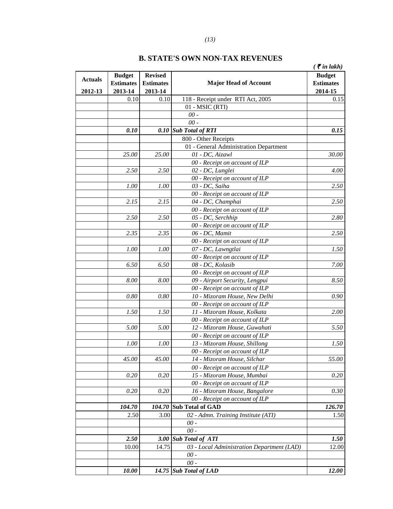|                |                                   |                                    |                                                           | $\zeta$ $\bar{\zeta}$ in lakh)    |
|----------------|-----------------------------------|------------------------------------|-----------------------------------------------------------|-----------------------------------|
| <b>Actuals</b> | <b>Budget</b><br><b>Estimates</b> | <b>Revised</b><br><b>Estimates</b> | <b>Major Head of Account</b>                              | <b>Budget</b><br><b>Estimates</b> |
| 2012-13        | 2013-14<br>0.10                   | 2013-14<br>0.10                    | 118 - Receipt under RTI Act, 2005                         | 2014-15                           |
|                |                                   |                                    | $01 - MSIC$ (RTI)                                         | 0.15                              |
|                |                                   |                                    | $00 -$                                                    |                                   |
|                |                                   |                                    | $00 -$                                                    |                                   |
|                | 0.10                              | 0.10                               | <b>Sub Total of RTI</b>                                   | 0.15                              |
|                |                                   |                                    | 800 - Other Receipts                                      |                                   |
|                |                                   |                                    |                                                           |                                   |
|                | 25.00                             | 25.00                              | 01 - General Administration Department<br>01 - DC, Aizawl |                                   |
|                |                                   |                                    |                                                           | 30.00                             |
|                |                                   |                                    | 00 - Receipt on account of ILP                            |                                   |
|                | 2.50                              | 2.50                               | 02 - DC, Lunglei                                          | 4.00                              |
|                |                                   |                                    | 00 - Receipt on account of ILP                            |                                   |
|                | 1.00                              | 1.00                               | 03 - DC, Saiha                                            | 2.50                              |
|                |                                   |                                    | 00 - Receipt on account of ILP                            |                                   |
|                | 2.15                              | 2.15                               | 04 - DC, Champhai                                         | 2.50                              |
|                |                                   |                                    | 00 - Receipt on account of ILP                            |                                   |
|                | 2.50                              | 2.50                               | 05 - DC, Serchhip                                         | 2.80                              |
|                |                                   |                                    | 00 - Receipt on account of ILP                            |                                   |
|                | 2.35                              | 2.35                               | 06 - DC, Mamit                                            | 2.50                              |
|                |                                   |                                    | 00 - Receipt on account of ILP                            |                                   |
|                | 1.00                              | 1.00                               | 07 - DC, Lawngtlai                                        | 1.50                              |
|                |                                   |                                    | 00 - Receipt on account of ILP                            |                                   |
|                | 6.50                              | 6.50                               | 08 - DC, Kolasib                                          | 7.00                              |
|                |                                   |                                    | 00 - Receipt on account of ILP                            |                                   |
|                | 8.00                              | 8.00                               | 09 - Airport Security, Lengpui                            | 8.50                              |
|                |                                   |                                    | 00 - Receipt on account of ILP                            |                                   |
|                | 0.80                              | 0.80                               | 10 - Mizoram House, New Delhi                             | 0.90                              |
|                |                                   |                                    | 00 - Receipt on account of ILP                            |                                   |
|                | 1.50                              | 1.50                               | 11 - Mizoram House, Kolkata                               | <b>2.00</b>                       |
|                |                                   |                                    | 00 - Receipt on account of ILP                            |                                   |
|                | 5.00                              | 5.00                               | 12 - Mizoram House, Guwahati                              | 5.50                              |
|                |                                   |                                    | 00 - Receipt on account of ILP                            |                                   |
|                | 1.00                              | 1.00                               | 13 - Mizoram House, Shillong                              | 1.50                              |
|                |                                   |                                    | 00 - Receipt on account of ILP                            |                                   |
|                | 45.00                             | 45.00                              | 14 - Mizoram House, Silchar                               | 55.00                             |
|                |                                   |                                    | 00 - Receipt on account of ILP                            |                                   |
|                | 0.20                              | 0.20                               | 15 - Mizoram House, Mumbai                                | 0.20                              |
|                |                                   |                                    | 00 - Receipt on account of ILP                            |                                   |
|                | 0.20                              | 0.20                               | 16 - Mizoram House, Bangalore                             | 0.30                              |
|                |                                   |                                    | 00 - Receipt on account of ILP                            |                                   |
|                | 104.70                            | 104.70                             | <b>Sub Total of GAD</b>                                   | 126.70                            |
|                | 2.50                              | 3.00                               | 02 - Admn. Training Institute (ATI)                       | 1.50                              |
|                |                                   |                                    | $00 -$                                                    |                                   |
|                |                                   |                                    | $00 -$                                                    |                                   |
|                | 2.50                              | <b>3.00</b>                        | <b>Sub Total of ATI</b>                                   | 1.50                              |
|                | 10.00                             | 14.75                              | 03 - Local Administration Department (LAD)                | 12.00                             |
|                |                                   |                                    | $00 -$                                                    |                                   |
|                |                                   |                                    | $00 -$                                                    |                                   |
|                | 10.00                             |                                    | 14.75 Sub Total of LAD                                    | 12.00                             |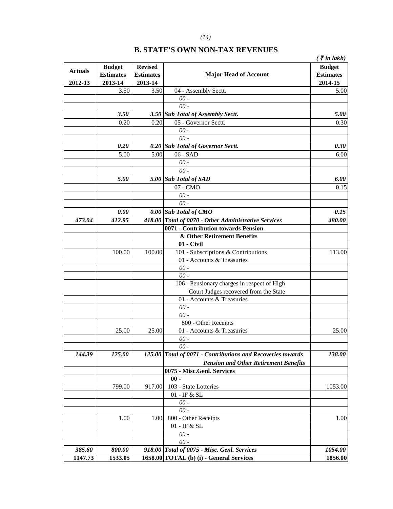|                |                  |                  |                                                             | $\zeta$ $\bar{\zeta}$ in lakh) |
|----------------|------------------|------------------|-------------------------------------------------------------|--------------------------------|
| <b>Actuals</b> | <b>Budget</b>    | <b>Revised</b>   |                                                             | <b>Budget</b>                  |
|                | <b>Estimates</b> | <b>Estimates</b> | <b>Major Head of Account</b>                                | <b>Estimates</b>               |
| 2012-13        | 2013-14          | 2013-14          |                                                             | 2014-15                        |
|                | 3.50             | 3.50             | 04 - Assembly Sectt.                                        | 5.00                           |
|                |                  |                  | $00 -$                                                      |                                |
|                |                  |                  | $00 -$                                                      |                                |
|                | 3.50             |                  | 3.50 Sub Total of Assembly Sectt.                           | 5.00                           |
|                | 0.20             | 0.20             | 05 - Governor Sectt.                                        | 0.30                           |
|                |                  |                  | $\theta\theta$ -                                            |                                |
|                |                  |                  | $00 -$                                                      |                                |
|                | 0.20             | 0.20             | <b>Sub Total of Governor Sectt.</b>                         | 0.30                           |
|                | 5.00             | 5.00             | 06 - SAD                                                    | 6.00                           |
|                |                  |                  | $00 -$                                                      |                                |
|                |                  |                  | $00 -$                                                      |                                |
|                | 5.00             |                  | 5.00 Sub Total of SAD                                       | 6.00                           |
|                |                  |                  | 07 - CMO                                                    | 0.15                           |
|                |                  |                  | $00 -$                                                      |                                |
|                |                  |                  | $00 -$                                                      |                                |
|                | 0.00             |                  | 0.00 Sub Total of CMO                                       | 0.15                           |
| 473.04         | 412.95           |                  | 418.00 Total of 0070 - Other Administrative Services        | 480.00                         |
|                |                  |                  | 0071 - Contribution towards Pension                         |                                |
|                |                  |                  | & Other Retirement Benefits                                 |                                |
|                |                  |                  | 01 - Civil                                                  |                                |
|                | 100.00           | 100.00           | $\overline{101}$ - Subscriptions & Contributions            | 113.00                         |
|                |                  |                  | 01 - Accounts & Treasuries                                  |                                |
|                |                  |                  | $\emph{00}$ -                                               |                                |
|                |                  |                  | $00 -$                                                      |                                |
|                |                  |                  | 106 - Pensionary charges in respect of High                 |                                |
|                |                  |                  | Court Judges recovered from the State                       |                                |
|                |                  |                  | 01 - Accounts & Treasuries                                  |                                |
|                |                  |                  | $00 -$                                                      |                                |
|                |                  |                  | $00 -$                                                      |                                |
|                |                  |                  | 800 - Other Receipts                                        |                                |
|                | 25.00            | 25.00            | 01 - Accounts & Treasuries                                  | 25.00                          |
|                |                  |                  | $00 -$                                                      |                                |
|                |                  |                  | $00 -$                                                      |                                |
| 144.39         | 125.00           |                  | 125.00 Total of 0071 - Contributions and Recoveries towards | 138.00                         |
|                |                  |                  | <b>Pension and Other Retirement Benefits</b>                |                                |
|                |                  |                  | 0075 - Misc.Genl. Services                                  |                                |
|                |                  |                  | $00 -$                                                      |                                |
|                |                  |                  | 103 - State Lotteries                                       |                                |
|                | 799.00           | 917.00           | $01$ - IF & SL $\,$                                         | 1053.00                        |
|                |                  |                  | $00 -$                                                      |                                |
|                |                  |                  | $00 -$                                                      |                                |
|                | 1.00             |                  | 800 - Other Receipts                                        |                                |
|                |                  | 1.00             | 01 - IF & SL                                                | 1.00                           |
|                |                  |                  | $00 -$                                                      |                                |
|                |                  |                  | $00 -$                                                      |                                |
| 385.60         | 800.00           |                  | 918.00 Total of 0075 - Misc. Genl. Services                 | 1054.00                        |
| 1147.73        | 1533.05          |                  | 1658.00 TOTAL (b) (i) - General Services                    | 1856.00                        |
|                |                  |                  |                                                             |                                |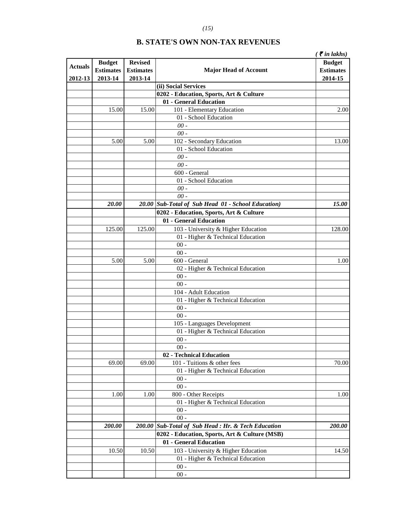| <b>Actuals</b> | <b>Budget</b>    | <b>Revised</b>   |                                                        | ( ₹ in lakhs)<br><b>Budget</b> |
|----------------|------------------|------------------|--------------------------------------------------------|--------------------------------|
|                | <b>Estimates</b> | <b>Estimates</b> | <b>Major Head of Account</b>                           | <b>Estimates</b>               |
| 2012-13        | 2013-14          | 2013-14          | (ii) Social Services                                   | 2014-15                        |
|                |                  |                  | 0202 - Education, Sports, Art & Culture                |                                |
|                |                  |                  | 01 - General Education                                 |                                |
|                | 15.00            | 15.00            | 101 - Elementary Education                             | 2.00                           |
|                |                  |                  | 01 - School Education                                  |                                |
|                |                  |                  | $00 -$                                                 |                                |
|                |                  |                  | $00 -$                                                 |                                |
|                | 5.00             | 5.00             |                                                        | 13.00                          |
|                |                  |                  | 102 - Secondary Education<br>01 - School Education     |                                |
|                |                  |                  |                                                        |                                |
|                |                  |                  | $00-$                                                  |                                |
|                |                  |                  | $00 -$                                                 |                                |
|                |                  |                  | 600 - General                                          |                                |
|                |                  |                  | 01 - School Education                                  |                                |
|                |                  |                  | $00 -$                                                 |                                |
|                |                  |                  | $00 -$                                                 |                                |
|                | 20.00            |                  | 20.00 Sub-Total of Sub Head 01 - School Education)     | 15.00                          |
|                |                  |                  | 0202 - Education, Sports, Art & Culture                |                                |
|                |                  |                  | 01 - General Education                                 |                                |
|                | 125.00           | 125.00           | 103 - University & Higher Education                    | 128.00                         |
|                |                  |                  | 01 - Higher & Technical Education                      |                                |
|                |                  |                  | $00 -$                                                 |                                |
|                |                  |                  | $00 -$                                                 |                                |
|                | 5.00             | 5.00             | 600 - General                                          | 1.00                           |
|                |                  |                  | 02 - Higher & Technical Education                      |                                |
|                |                  |                  | $00 -$                                                 |                                |
|                |                  |                  | $00 -$                                                 |                                |
|                |                  |                  | 104 - Adult Education                                  |                                |
|                |                  |                  | 01 - Higher & Technical Education                      |                                |
|                |                  |                  | $00 -$                                                 |                                |
|                |                  |                  | $00 -$                                                 |                                |
|                |                  |                  | 105 - Languages Development                            |                                |
|                |                  |                  | 01 - Higher & Technical Education                      |                                |
|                |                  |                  | - 00                                                   |                                |
|                |                  |                  | $00 -$                                                 |                                |
|                |                  |                  | 02 - Technical Education                               |                                |
|                | 69.00            | 69.00            | 101 - Tuitions & other fees                            | 70.00                          |
|                |                  |                  | 01 - Higher & Technical Education                      |                                |
|                |                  |                  | $00 -$                                                 |                                |
|                |                  |                  | $00 -$                                                 |                                |
|                | 1.00             | 1.00             | 800 - Other Receipts                                   | 1.00                           |
|                |                  |                  | 01 - Higher & Technical Education                      |                                |
|                |                  |                  | $00 -$                                                 |                                |
|                |                  |                  | $00 -$                                                 |                                |
|                | 200.00           | 200.00           | <b>Sub-Total of Sub Head: Hr. &amp; Tech Education</b> | 200.00                         |
|                |                  |                  | 0202 - Education, Sports, Art & Culture (MSB)          |                                |
|                |                  |                  |                                                        |                                |
|                |                  |                  | 01 - General Education                                 |                                |
|                | 10.50            | 10.50            | 103 - University & Higher Education                    | 14.50                          |
|                |                  |                  | 01 - Higher & Technical Education                      |                                |
|                |                  |                  | $00 -$                                                 |                                |
|                |                  |                  | $00 -$                                                 |                                |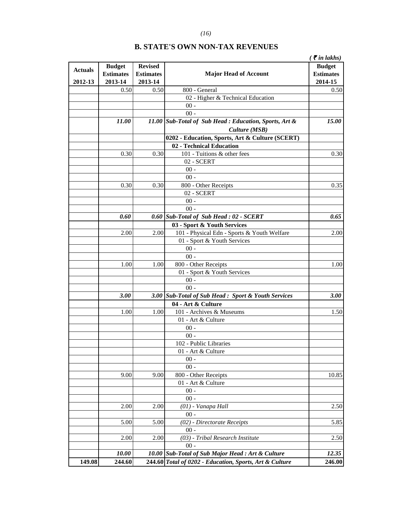|                |                     |                  |                                                         | $\zeta$ $\bar{\zeta}$ in lakhs) |
|----------------|---------------------|------------------|---------------------------------------------------------|---------------------------------|
|                | <b>Budget</b>       | <b>Revised</b>   |                                                         | <b>Budget</b>                   |
| <b>Actuals</b> | <b>Estimates</b>    | <b>Estimates</b> | <b>Major Head of Account</b>                            | <b>Estimates</b>                |
| 2012-13        | 2013-14             | 2013-14          |                                                         | 2014-15                         |
|                | 0.50                | 0.50             | 800 - General                                           | 0.50                            |
|                |                     |                  | 02 - Higher & Technical Education                       |                                 |
|                |                     |                  | $00 -$                                                  |                                 |
|                |                     |                  | $00 -$                                                  |                                 |
|                | 11.00               |                  | 11.00 Sub-Total of Sub Head : Education, Sports, Art &  | 15.00                           |
|                |                     |                  | Culture (MSB)                                           |                                 |
|                |                     |                  | 0202 - Education, Sports, Art & Culture (SCERT)         |                                 |
|                |                     |                  | 02 - Technical Education                                |                                 |
|                | 0.30                | 0.30             | 101 - Tuitions & other fees                             | 0.30                            |
|                |                     |                  | 02 - SCERT                                              |                                 |
|                |                     |                  | $00$ -                                                  |                                 |
|                |                     |                  | $00 -$                                                  |                                 |
|                | 0.30                | 0.30             | 800 - Other Receipts                                    | 0.35                            |
|                |                     |                  | 02 - SCERT                                              |                                 |
|                |                     |                  | $00$ -                                                  |                                 |
|                |                     |                  | $00 -$                                                  |                                 |
|                | 0.60                | 0.60             | Sub-Total of Sub Head : 02 - SCERT                      | 0.65                            |
|                |                     |                  | 03 - Sport & Youth Services                             |                                 |
|                | 2.00                | 2.00             | 101 - Physical Edn - Sports & Youth Welfare             | 2.00                            |
|                |                     |                  | 01 - Sport & Youth Services                             |                                 |
|                |                     |                  | $00 -$                                                  |                                 |
|                |                     |                  | $00 -$                                                  |                                 |
|                |                     |                  |                                                         |                                 |
|                | 1.00                | 1.00             | 800 - Other Receipts                                    | 1.00                            |
|                |                     |                  | 01 - Sport & Youth Services                             |                                 |
|                |                     |                  | $00 -$                                                  |                                 |
|                |                     |                  | $00 -$                                                  |                                 |
|                | 3.00                |                  | 3.00 Sub-Total of Sub Head : Sport & Youth Services     | <b>3.00</b>                     |
|                |                     |                  | 04 - Art & Culture                                      |                                 |
|                | 1.00                | 1.00             | 101 - Archives & Museums                                | 1.50                            |
|                |                     |                  | 01 - Art & Culture                                      |                                 |
|                |                     |                  | $00 -$                                                  |                                 |
|                |                     |                  | $00 -$                                                  |                                 |
|                |                     |                  | 102 - Public Libraries                                  |                                 |
|                |                     |                  | 01 - Art & Culture                                      |                                 |
|                |                     |                  | $00 -$                                                  |                                 |
|                |                     |                  | $00 -$                                                  |                                 |
|                | 9.00                | 9.00             | 800 - Other Receipts                                    | 10.85                           |
|                |                     |                  | 01 - Art & Culture                                      |                                 |
|                |                     |                  | $00 -$                                                  |                                 |
|                |                     |                  | $00 -$                                                  |                                 |
|                | 2.00                | 2.00             | (01) - Vanapa Hall                                      | 2.50                            |
|                |                     |                  | $00 -$                                                  |                                 |
|                | 5.00                | 5.00             | (02) - Directorate Receipts                             | 5.85                            |
|                |                     |                  | $00 -$                                                  |                                 |
|                | 2.00                | 2.00             | (03) - Tribal Research Institute                        | 2.50                            |
|                |                     |                  | $00 -$                                                  |                                 |
|                | <i><b>10.00</b></i> |                  | 10.00 Sub-Total of Sub Major Head : Art & Culture       | 12.35                           |
| 149.08         | 244.60              |                  | 244.60 Total of 0202 - Education, Sports, Art & Culture | 246.00                          |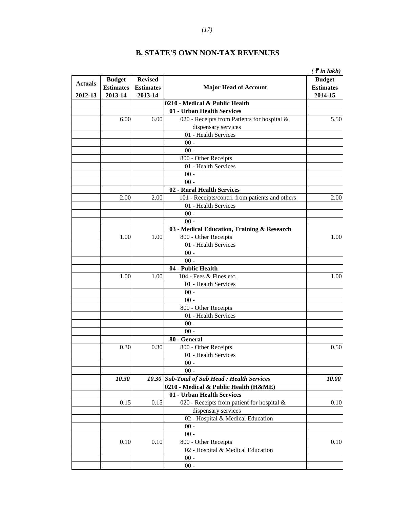|                |                  |                  |                                                 | $\zeta$ $\bar{\zeta}$ in lakh) |
|----------------|------------------|------------------|-------------------------------------------------|--------------------------------|
|                | <b>Budget</b>    | <b>Revised</b>   |                                                 | <b>Budget</b>                  |
| <b>Actuals</b> | <b>Estimates</b> | <b>Estimates</b> | <b>Major Head of Account</b>                    | <b>Estimates</b>               |
| 2012-13        | 2013-14          | 2013-14          |                                                 | 2014-15                        |
|                |                  |                  | 0210 - Medical & Public Health                  |                                |
|                |                  |                  | 01 - Urban Health Services                      |                                |
|                | 6.00             | 6.00             | 020 - Receipts from Patients for hospital &     | 5.50                           |
|                |                  |                  | dispensary services                             |                                |
|                |                  |                  | 01 - Health Services                            |                                |
|                |                  |                  | $00 -$                                          |                                |
|                |                  |                  | $00 -$                                          |                                |
|                |                  |                  | 800 - Other Receipts                            |                                |
|                |                  |                  | 01 - Health Services                            |                                |
|                |                  |                  | $00 -$                                          |                                |
|                |                  |                  | $00 -$                                          |                                |
|                |                  |                  | 02 - Rural Health Services                      |                                |
|                | 2.00             | 2.00             | 101 - Receipts/contri. from patients and others | 2.00                           |
|                |                  |                  | 01 - Health Services                            |                                |
|                |                  |                  | $00 -$                                          |                                |
|                |                  |                  | $00 -$                                          |                                |
|                |                  |                  | 03 - Medical Education, Training & Research     |                                |
|                | 1.00             | 1.00             | 800 - Other Receipts                            | 1.00                           |
|                |                  |                  | 01 - Health Services                            |                                |
|                |                  |                  | $00$ -                                          |                                |
|                |                  |                  | $00 -$                                          |                                |
|                |                  |                  | 04 - Public Health                              |                                |
|                | 1.00             | 1.00             | 104 - Fees & Fines etc.                         | 1.00                           |
|                |                  |                  | 01 - Health Services                            |                                |
|                |                  |                  | $00 -$                                          |                                |
|                |                  |                  | $00 -$                                          |                                |
|                |                  |                  | 800 - Other Receipts                            |                                |
|                |                  |                  | 01 - Health Services                            |                                |
|                |                  |                  | $00 -$                                          |                                |
|                |                  |                  | $00 -$                                          |                                |
|                |                  |                  | 80 - General                                    |                                |
|                | 0.30             | 0.30             | 800 - Other Receipts                            | 0.50                           |
|                |                  |                  | 01 - Health Services                            |                                |
|                |                  |                  | $00 -$                                          |                                |
|                |                  |                  | $00 -$                                          |                                |
|                | 10.30            |                  | 10.30 Sub-Total of Sub Head : Health Services   | 10.00                          |
|                |                  |                  | 0210 - Medical & Public Health (H&ME)           |                                |
|                |                  |                  | 01 - Urban Health Services                      |                                |
|                | 0.15             | 0.15             | 020 - Receipts from patient for hospital &      | 0.10                           |
|                |                  |                  | dispensary services                             |                                |
|                |                  |                  | 02 - Hospital & Medical Education               |                                |
|                |                  |                  | $00$ -                                          |                                |
|                |                  |                  | $00 -$                                          |                                |
|                | 0.10             | 0.10             | 800 - Other Receipts                            | 0.10                           |
|                |                  |                  | 02 - Hospital & Medical Education               |                                |
|                |                  |                  | $00 -$                                          |                                |
|                |                  |                  | $00 -$                                          |                                |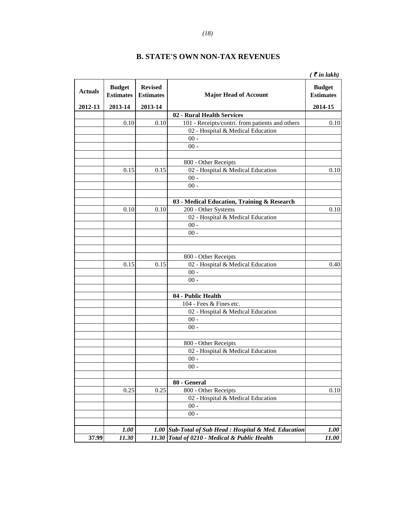|                |                                   |                                    |                                                           | $\zeta$ $\bar{\zeta}$ in lakh)    |
|----------------|-----------------------------------|------------------------------------|-----------------------------------------------------------|-----------------------------------|
| <b>Actuals</b> | <b>Budget</b><br><b>Estimates</b> | <b>Revised</b><br><b>Estimates</b> | <b>Major Head of Account</b>                              | <b>Budget</b><br><b>Estimates</b> |
| 2012-13        | 2013-14                           | 2013-14                            |                                                           | 2014-15                           |
|                |                                   |                                    | 02 - Rural Health Services                                |                                   |
|                | 0.10                              | 0.10                               | 101 - Receipts/contri. from patients and others           | 0.10                              |
|                |                                   |                                    | 02 - Hospital & Medical Education                         |                                   |
|                |                                   |                                    | $00$ -                                                    |                                   |
|                |                                   |                                    | $00 -$                                                    |                                   |
|                |                                   |                                    |                                                           |                                   |
|                | 0.15                              | 0.15                               | 800 - Other Receipts<br>02 - Hospital & Medical Education | 0.10                              |
|                |                                   |                                    | $00 -$                                                    |                                   |
|                |                                   |                                    | $00 -$                                                    |                                   |
|                |                                   |                                    |                                                           |                                   |
|                |                                   |                                    | 03 - Medical Education, Training & Research               |                                   |
|                | 0.10                              | 0.10                               | 200 - Other Systems                                       | 0.10                              |
|                |                                   |                                    | 02 - Hospital & Medical Education                         |                                   |
|                |                                   |                                    | $00$ -                                                    |                                   |
|                |                                   |                                    | $00 -$                                                    |                                   |
|                |                                   |                                    |                                                           |                                   |
|                |                                   |                                    |                                                           |                                   |
|                |                                   |                                    | 800 - Other Receipts                                      |                                   |
|                | 0.15                              | 0.15                               | 02 - Hospital & Medical Education                         | 0.40                              |
|                |                                   |                                    | $00$ -                                                    |                                   |
|                |                                   |                                    | $00 -$                                                    |                                   |
|                |                                   |                                    |                                                           |                                   |
|                |                                   |                                    | 04 - Public Health                                        |                                   |
|                |                                   |                                    | 104 - Fees & Fines etc.                                   |                                   |
|                |                                   |                                    | 02 - Hospital & Medical Education                         |                                   |
|                |                                   |                                    | $00 -$                                                    |                                   |
|                |                                   |                                    | $00 -$                                                    |                                   |
|                |                                   |                                    | 800 - Other Receipts                                      |                                   |
|                |                                   |                                    | 02 - Hospital & Medical Education                         |                                   |
|                |                                   |                                    | $00 -$                                                    |                                   |
|                |                                   |                                    | $00 -$                                                    |                                   |
|                |                                   |                                    |                                                           |                                   |
|                |                                   |                                    | 80 - General                                              |                                   |
|                | 0.25                              | 0.25                               | 800 - Other Receipts                                      | 0.10                              |
|                |                                   |                                    | 02 - Hospital & Medical Education                         |                                   |
|                |                                   |                                    | $00 -$                                                    |                                   |
|                |                                   |                                    | $00 -$                                                    |                                   |
|                |                                   |                                    |                                                           |                                   |
|                | 1.00                              |                                    | 1.00 Sub-Total of Sub Head : Hospital & Med. Education    | 1.00                              |
| 37.99          | 11.30                             | 11.30                              | Total of 0210 - Medical & Public Health                   | 11.00                             |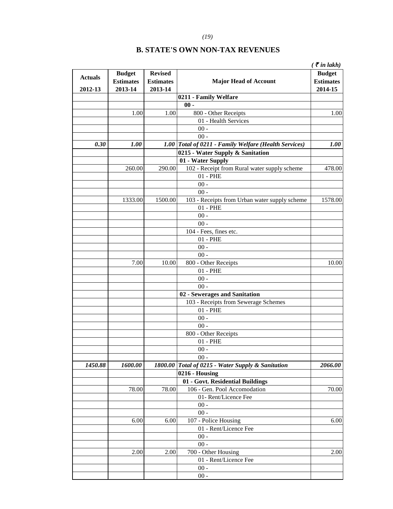|                |                  |                  |                                                       | $\zeta$ $\bar{\zeta}$ in lakh) |
|----------------|------------------|------------------|-------------------------------------------------------|--------------------------------|
| <b>Actuals</b> | <b>Budget</b>    | <b>Revised</b>   |                                                       | <b>Budget</b>                  |
|                | <b>Estimates</b> | <b>Estimates</b> | <b>Major Head of Account</b>                          | <b>Estimates</b>               |
| 2012-13        | 2013-14          | 2013-14          |                                                       | 2014-15                        |
|                |                  |                  | 0211 - Family Welfare                                 |                                |
|                |                  |                  | $00 -$                                                |                                |
|                | 1.00             | 1.00             | 800 - Other Receipts                                  | 1.00                           |
|                |                  |                  | 01 - Health Services                                  |                                |
|                |                  |                  | $00 -$                                                |                                |
|                |                  |                  | $00 -$                                                |                                |
| 0.30           | <b>1.00</b>      |                  | 1.00 Total of 0211 - Family Welfare (Health Services) | 1.00                           |
|                |                  |                  | 0215 - Water Supply & Sanitation                      |                                |
|                |                  |                  | 01 - Water Supply                                     |                                |
|                | 260.00           | 290.00           | 102 - Receipt from Rural water supply scheme          | 478.00                         |
|                |                  |                  | $01 - PHE$                                            |                                |
|                |                  |                  | $00 -$                                                |                                |
|                |                  |                  | $00 -$                                                |                                |
|                | 1333.00          | 1500.00          | 103 - Receipts from Urban water supply scheme         | 1578.00                        |
|                |                  |                  | $01$ - $PHE$                                          |                                |
|                |                  |                  | $00 -$                                                |                                |
|                |                  |                  | $00 -$                                                |                                |
|                |                  |                  | 104 - Fees, fines etc.                                |                                |
|                |                  |                  | $01$ - $PHE$                                          |                                |
|                |                  |                  | $00 -$                                                |                                |
|                |                  |                  | $00 -$                                                |                                |
|                | 7.00             | 10.00            | 800 - Other Receipts                                  | 10.00                          |
|                |                  |                  | $01 - PHE$                                            |                                |
|                |                  |                  | $00 -$                                                |                                |
|                |                  |                  | $00 -$                                                |                                |
|                |                  |                  | 02 - Sewerages and Sanitation                         |                                |
|                |                  |                  | 103 - Receipts from Sewerage Schemes                  |                                |
|                |                  |                  | $01 - PHE$                                            |                                |
|                |                  |                  | $00 -$                                                |                                |
|                |                  |                  | $00 -$                                                |                                |
|                |                  |                  | 800 - Other Receipts                                  |                                |
|                |                  |                  | $01 - PHE$                                            |                                |
|                |                  |                  | $00 -$                                                |                                |
|                |                  |                  | $00 -$                                                |                                |
| 1450.88        | 1600.00          |                  | 1800.00 Total of 0215 - Water Supply & Sanitation     | 2066.00                        |
|                |                  |                  | 0216 - Housing                                        |                                |
|                |                  |                  | 01 - Govt. Residential Buildings                      |                                |
|                | 78.00            | 78.00            | 106 - Gen. Pool Accomodation                          | 70.00                          |
|                |                  |                  | 01- Rent/Licence Fee                                  |                                |
|                |                  |                  | $00$ -                                                |                                |
|                |                  |                  | $00 -$                                                |                                |
|                | 6.00             | 6.00             | 107 - Police Housing                                  | 6.00                           |
|                |                  |                  | 01 - Rent/Licence Fee                                 |                                |
|                |                  |                  | $00 -$                                                |                                |
|                |                  |                  | $00 -$                                                |                                |
|                | 2.00             | 2.00             | 700 - Other Housing                                   | 2.00                           |
|                |                  |                  | 01 - Rent/Licence Fee                                 |                                |
|                |                  |                  | $00 -$                                                |                                |
|                |                  |                  |                                                       |                                |
|                |                  |                  | $00 -$                                                |                                |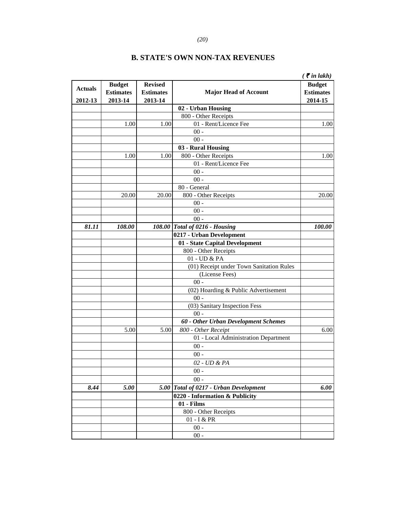#### *(20)*

|                |                  |                  |                                          | $\zeta$ $\bar{\zeta}$ in lakh) |
|----------------|------------------|------------------|------------------------------------------|--------------------------------|
| <b>Actuals</b> | <b>Budget</b>    | <b>Revised</b>   |                                          | <b>Budget</b>                  |
|                | <b>Estimates</b> | <b>Estimates</b> | <b>Major Head of Account</b>             | <b>Estimates</b>               |
| 2012-13        | 2013-14          | 2013-14          |                                          | 2014-15                        |
|                |                  |                  | 02 - Urban Housing                       |                                |
|                |                  |                  | 800 - Other Receipts                     |                                |
|                | 1.00             | 1.00             | 01 - Rent/Licence Fee                    | 1.00                           |
|                |                  |                  | $00 -$                                   |                                |
|                |                  |                  | $00 -$                                   |                                |
|                |                  |                  | 03 - Rural Housing                       |                                |
|                | 1.00             | 1.00             | 800 - Other Receipts                     | 1.00                           |
|                |                  |                  | 01 - Rent/Licence Fee                    |                                |
|                |                  |                  | $00$ -                                   |                                |
|                |                  |                  | $00 -$                                   |                                |
|                |                  |                  | 80 - General                             |                                |
|                | 20.00            | 20.00            | 800 - Other Receipts                     | 20.00                          |
|                |                  |                  | $00 -$                                   |                                |
|                |                  |                  | $00 -$                                   |                                |
|                |                  |                  | $00 -$                                   |                                |
| 81.11          | 108.00           |                  | 108.00 Total of 0216 - Housing           | 100.00                         |
|                |                  |                  | 0217 - Urban Development                 |                                |
|                |                  |                  | 01 - State Capital Development           |                                |
|                |                  |                  | 800 - Other Receipts                     |                                |
|                |                  |                  | 01 - UD & PA                             |                                |
|                |                  |                  | (01) Receipt under Town Sanitation Rules |                                |
|                |                  |                  | (License Fees)                           |                                |
|                |                  |                  | $00 -$                                   |                                |
|                |                  |                  | (02) Hoarding & Public Advertisement     |                                |
|                |                  |                  | $00 -$                                   |                                |
|                |                  |                  | (03) Sanitary Inspection Fess            |                                |
|                |                  |                  | $00 -$                                   |                                |
|                |                  |                  | 60 - Other Urban Development Schemes     |                                |
|                | 5.00             | 5.00             | 800 - Other Receipt                      | 6.00                           |
|                |                  |                  | 01 - Local Administration Department     |                                |
|                |                  |                  | $00 -$                                   |                                |
|                |                  |                  | $00 -$                                   |                                |
|                |                  |                  | 02 - UD & PA                             |                                |
|                |                  |                  | $00 -$                                   |                                |
|                |                  |                  | $00 -$                                   |                                |
| 8.44           | 5.00             |                  | 5.00 Total of 0217 - Urban Development   | 6.00                           |
|                |                  |                  | 0220 - Information & Publicity           |                                |
|                |                  |                  | 01 - Films                               |                                |
|                |                  |                  | 800 - Other Receipts                     |                                |
|                |                  |                  | 01 - I & PR                              |                                |
|                |                  |                  | $00 -$                                   |                                |
|                |                  |                  | $00 -$                                   |                                |
|                |                  |                  |                                          |                                |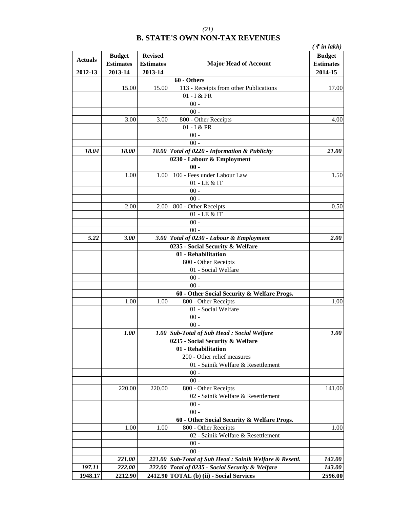|                |                                   |                                    |                                                   | ( ₹ in lakh)                      |
|----------------|-----------------------------------|------------------------------------|---------------------------------------------------|-----------------------------------|
| <b>Actuals</b> | <b>Budget</b><br><b>Estimates</b> | <b>Revised</b><br><b>Estimates</b> | <b>Major Head of Account</b>                      | <b>Budget</b><br><b>Estimates</b> |
| 2012-13        | 2013-14                           | 2013-14                            |                                                   | 2014-15                           |
|                |                                   |                                    | 60 - Others                                       |                                   |
|                | 15.00                             | 15.00                              | 113 - Receipts from other Publications            | 17.00                             |
|                |                                   |                                    | 01 - I & PR                                       |                                   |
|                |                                   |                                    | $00 -$                                            |                                   |
|                |                                   |                                    | $00 -$                                            |                                   |
|                | 3.00                              | 3.00                               | 800 - Other Receipts                              | 4.00                              |
|                |                                   |                                    | 01 - I & PR                                       |                                   |
|                |                                   |                                    | $00 -$                                            |                                   |
|                |                                   |                                    | $00 -$                                            |                                   |
| 18.04          | 18.00                             |                                    | 18.00 Total of 0220 - Information & Publicity     | 21.00                             |
|                |                                   |                                    | 0230 - Labour & Employment                        |                                   |
|                |                                   |                                    | $00 -$                                            |                                   |
|                | 1.00                              | 1.00                               | 106 - Fees under Labour Law                       | 1.50                              |
|                |                                   |                                    | 01 - LE & IT                                      |                                   |
|                |                                   |                                    | $00 -$                                            |                                   |
|                |                                   |                                    | $00 -$                                            |                                   |
|                | 2.00                              | 2.00                               | 800 - Other Receipts                              | 0.50                              |
|                |                                   |                                    | 01 - LE & IT                                      |                                   |
|                |                                   |                                    | $00 -$                                            |                                   |
|                |                                   |                                    | $00 -$                                            |                                   |
| 5.22           | 3.00                              |                                    | 3.00 Total of 0230 - Labour & Employment          | 2.00                              |
|                |                                   |                                    | 0235 - Social Security & Welfare                  |                                   |
|                |                                   |                                    | 01 - Rehabilitation                               |                                   |
|                |                                   |                                    | 800 - Other Receipts                              |                                   |
|                |                                   |                                    | 01 - Social Welfare                               |                                   |
|                |                                   |                                    | $00 -$                                            |                                   |
|                |                                   |                                    | $00 -$                                            |                                   |
|                |                                   |                                    | 60 - Other Social Security & Welfare Progs.       |                                   |
|                | 1.00                              | 1.00                               | 800 - Other Receipts                              | 1.00                              |
|                |                                   |                                    | 01 - Social Welfare                               |                                   |
|                |                                   |                                    | $00 -$                                            |                                   |
|                |                                   |                                    | $00 -$                                            |                                   |
|                | <i>1.00</i>                       |                                    | 1.00 Sub-Total of Sub Head: Social Welfare        | <i>1.00</i>                       |
|                |                                   |                                    | 0235 - Social Security & Welfare                  |                                   |
|                |                                   |                                    | 01 - Rehabilitation                               |                                   |
|                |                                   |                                    | 200 - Other relief measures                       |                                   |
|                |                                   |                                    | 01 - Sainik Welfare & Resettlement                |                                   |
|                |                                   |                                    | $00 -$                                            |                                   |
|                |                                   |                                    | $00 -$                                            |                                   |
|                | 220.00                            | 220.00                             | 800 - Other Receipts                              | 141.00                            |
|                |                                   |                                    | 02 - Sainik Welfare & Resettlement                |                                   |
|                |                                   |                                    | $00 -$                                            |                                   |
|                |                                   |                                    | $00 -$                                            |                                   |
|                |                                   |                                    | 60 - Other Social Security & Welfare Progs.       |                                   |
|                | 1.00                              | 1.00                               | 800 - Other Receipts                              | 1.00                              |
|                |                                   |                                    | 02 - Sainik Welfare & Resettlement                |                                   |
|                |                                   |                                    | $00 -$                                            |                                   |
|                |                                   |                                    | $00 -$                                            |                                   |
|                | 221.00                            | 221.00                             | Sub-Total of Sub Head : Sainik Welfare & Resettl. | <i>142.00</i>                     |
| 197.11         | 222.00                            | 222.00                             | Total of 0235 - Social Security & Welfare         | 143.00                            |
| 1948.17        | 2212.90                           |                                    | 2412.90 TOTAL (b) (ii) - Social Services          | 2596.00                           |

*(21)*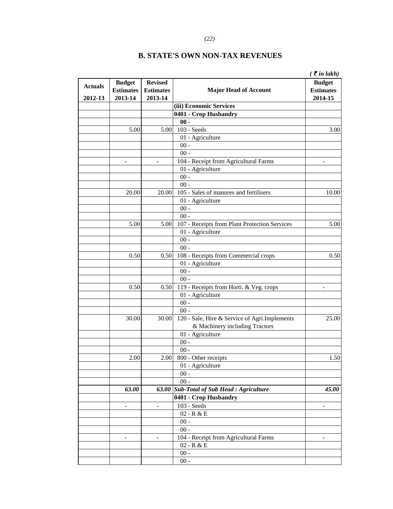|                |                                   |                                    |                                               | $\zeta$ $\bar{\zeta}$ in lakh)    |
|----------------|-----------------------------------|------------------------------------|-----------------------------------------------|-----------------------------------|
| <b>Actuals</b> | <b>Budget</b><br><b>Estimates</b> | <b>Revised</b><br><b>Estimates</b> | <b>Major Head of Account</b>                  | <b>Budget</b><br><b>Estimates</b> |
| 2012-13        | 2013-14                           | 2013-14                            |                                               | 2014-15                           |
|                |                                   |                                    | (iii) Economic Services                       |                                   |
|                |                                   |                                    | 0401 - Crop Husbandry                         |                                   |
|                |                                   |                                    | $00 -$                                        |                                   |
|                | 5.00                              | 5.00                               | 103 - Seeds                                   | 3.00                              |
|                |                                   |                                    | 01 - Agriculture                              |                                   |
|                |                                   |                                    | $00 -$<br>$00 -$                              |                                   |
|                |                                   |                                    |                                               |                                   |
|                |                                   | $\qquad \qquad \blacksquare$       | 104 - Receipt from Agricultural Farms         |                                   |
|                |                                   |                                    | 01 - Agriculture<br>$00 -$                    |                                   |
|                |                                   |                                    | $00 -$                                        |                                   |
|                |                                   |                                    | 105 - Sales of manures and fertilisers        |                                   |
|                | 20.00                             | 20.00                              |                                               | 10.00                             |
|                |                                   |                                    | 01 - Agriculture<br>$00 -$                    |                                   |
|                |                                   |                                    | $00 -$                                        |                                   |
|                |                                   |                                    | 107 - Receipts from Plant Protection Services |                                   |
|                | 5.00                              | 5.00                               | 01 - Agriculture                              | 5.00                              |
|                |                                   |                                    | $00 -$                                        |                                   |
|                |                                   |                                    | $00 -$                                        |                                   |
|                | 0.50                              | 0.50                               | 108 - Receipts from Commercial crops          | 0.50                              |
|                |                                   |                                    | 01 - Agriculture                              |                                   |
|                |                                   |                                    | $00 -$                                        |                                   |
|                |                                   |                                    | $00 -$                                        |                                   |
|                | 0.50                              | 0.50                               | 119 - Receipts from Horti. & Veg. crops       | $\overline{\phantom{a}}$          |
|                |                                   |                                    | 01 - Agriculture                              |                                   |
|                |                                   |                                    | $00 -$                                        |                                   |
|                |                                   |                                    | $00 -$                                        |                                   |
|                | 30.00                             | 30.00                              | 120 - Sale, Hire & Service of Agri.Implements | 25.00                             |
|                |                                   |                                    | & Machinery including Tractors                |                                   |
|                |                                   |                                    | 01 - Agriculture                              |                                   |
|                |                                   |                                    | $00 -$                                        |                                   |
|                |                                   |                                    | $00 -$                                        |                                   |
|                | 2.00                              |                                    | 2.00 800 - Other receipts                     | 1.50                              |
|                |                                   |                                    | 01 - Agriculture                              |                                   |
|                |                                   |                                    | $00 -$                                        |                                   |
|                |                                   |                                    | $00 -$                                        |                                   |
|                | 63.00                             | 63.00                              | <b>Sub-Total of Sub Head: Agriculture</b>     | 45.00                             |
|                |                                   |                                    | 0401 - Crop Husbandry                         |                                   |
|                |                                   | $\overline{\phantom{a}}$           | $103$ - Seeds                                 |                                   |
|                |                                   |                                    | 02 - R & E                                    |                                   |
|                |                                   |                                    | $00 -$                                        |                                   |
|                |                                   |                                    | $00 -$                                        |                                   |
|                |                                   |                                    | 104 - Receipt from Agricultural Farms         |                                   |
|                |                                   |                                    | 02 - R & E                                    |                                   |
|                |                                   |                                    | $00 -$                                        |                                   |
|                |                                   |                                    | $00 -$                                        |                                   |
|                |                                   |                                    |                                               |                                   |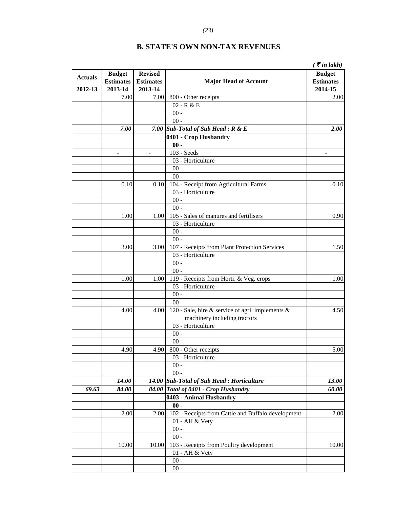|                |                  |                  |                                                    | $\zeta$ $\bar{\zeta}$ in lakh) |
|----------------|------------------|------------------|----------------------------------------------------|--------------------------------|
|                | <b>Budget</b>    | <b>Revised</b>   |                                                    | <b>Budget</b>                  |
| <b>Actuals</b> | <b>Estimates</b> | <b>Estimates</b> | <b>Major Head of Account</b>                       | <b>Estimates</b>               |
| 2012-13        | 2013-14          | 2013-14          |                                                    | 2014-15                        |
|                | 7.00             | 7.00             | 800 - Other receipts                               | 2.00                           |
|                |                  |                  | $02 - R & E$                                       |                                |
|                |                  |                  | $00 -$                                             |                                |
|                |                  |                  | $00 -$                                             |                                |
|                | 7.00             | 7.00             | <b>Sub-Total of Sub Head: R &amp; E</b>            | 2.00                           |
|                |                  |                  | 0401 - Crop Husbandry                              |                                |
|                |                  |                  | $00 -$                                             |                                |
|                | $\blacksquare$   | $\overline{a}$   | 103 - Seeds                                        | $\overline{\phantom{a}}$       |
|                |                  |                  | 03 - Horticulture                                  |                                |
|                |                  |                  | $00$ -                                             |                                |
|                |                  |                  | $00 -$                                             |                                |
|                | 0.10             | 0.10             | 104 - Receipt from Agricultural Farms              | 0.10                           |
|                |                  |                  | 03 - Horticulture                                  |                                |
|                |                  |                  | $00$ -                                             |                                |
|                |                  |                  | $00 -$                                             |                                |
|                | 1.00             | 1.00             | 105 - Sales of manures and fertilisers             | 0.90                           |
|                |                  |                  | 03 - Horticulture                                  |                                |
|                |                  |                  | $00$ -                                             |                                |
|                |                  |                  | $00 -$                                             |                                |
|                | 3.00             | 3.00             | 107 - Receipts from Plant Protection Services      | 1.50                           |
|                |                  |                  | 03 - Horticulture                                  |                                |
|                |                  |                  | $00 -$                                             |                                |
|                |                  |                  | $00 -$                                             |                                |
|                | 1.00             | 1.00             | 119 - Receipts from Horti. & Veg. crops            | 1.00                           |
|                |                  |                  | 03 - Horticulture                                  |                                |
|                |                  |                  | $00$ -                                             |                                |
|                |                  |                  | $00 -$                                             |                                |
|                | 4.00             | 4.00             | 120 - Sale, hire & service of agri. implements &   | 4.50                           |
|                |                  |                  | machinery including tractors                       |                                |
|                |                  |                  | 03 - Horticulture                                  |                                |
|                |                  |                  | $00$ -                                             |                                |
|                |                  |                  | $00$ -                                             |                                |
|                | 4.90             | 4.90             | 800 - Other receipts                               | 5.00                           |
|                |                  |                  | 03 - Horticulture                                  |                                |
|                |                  |                  | $00 -$                                             |                                |
|                |                  |                  | $00 -$                                             |                                |
|                | 14.00            | 14.00            | <b>Sub-Total of Sub Head: Horticulture</b>         | 13.00                          |
| 69.63          | 84.00            | 84.00            | Total of 0401 - Crop Husbandry                     | 60.00                          |
|                |                  |                  | 0403 - Animal Husbandry                            |                                |
|                |                  |                  | $00 -$                                             |                                |
|                | 2.00             | 2.00             | 102 - Receipts from Cattle and Buffalo development | 2.00                           |
|                |                  |                  | 01 - AH & Vety                                     |                                |
|                |                  |                  | $00$ -                                             |                                |
|                |                  |                  | $00 -$                                             |                                |
|                | 10.00            | 10.00            | 103 - Receipts from Poultry development            | 10.00                          |
|                |                  |                  | 01 - AH & Vety                                     |                                |
|                |                  |                  | $00$ -                                             |                                |
|                |                  |                  | $00 -$                                             |                                |

*(23)*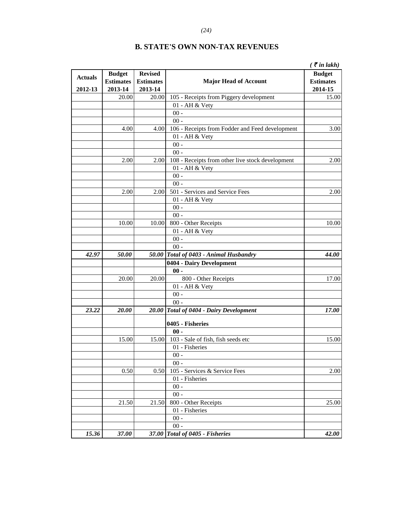|                |                  |                  |                                                  | $($ ₹ in lakh $)$ |
|----------------|------------------|------------------|--------------------------------------------------|-------------------|
|                | <b>Budget</b>    | <b>Revised</b>   |                                                  | <b>Budget</b>     |
| <b>Actuals</b> | <b>Estimates</b> | <b>Estimates</b> | <b>Major Head of Account</b>                     | <b>Estimates</b>  |
| 2012-13        | 2013-14          | 2013-14          |                                                  | 2014-15           |
|                | 20.00            | 20.00            | 105 - Receipts from Piggery development          | 15.00             |
|                |                  |                  | 01 - AH & Vety                                   |                   |
|                |                  |                  | $00 -$                                           |                   |
|                |                  |                  | $00 -$                                           |                   |
|                | 4.00             | 4.00             | 106 - Receipts from Fodder and Feed development  | 3.00              |
|                |                  |                  | 01 - AH & Vety                                   |                   |
|                |                  |                  | $00 -$                                           |                   |
|                |                  |                  | $00 -$                                           |                   |
|                | 2.00             | 2.00             | 108 - Receipts from other live stock development | 2.00              |
|                |                  |                  | 01 - AH & Vety                                   |                   |
|                |                  |                  | $00 -$                                           |                   |
|                |                  |                  | $00 -$                                           |                   |
|                | 2.00             | 2.00             | 501 - Services and Service Fees                  | 2.00              |
|                |                  |                  | 01 - AH & Vety                                   |                   |
|                |                  |                  | $00$ -                                           |                   |
|                |                  |                  | $00 -$                                           |                   |
|                | 10.00            | 10.00            | 800 - Other Receipts                             | 10.00             |
|                |                  |                  | 01 - AH & Vety                                   |                   |
|                |                  |                  | $00 -$                                           |                   |
| 42.97          | 50.00            |                  | $00 -$<br>50.00 Total of 0403 - Animal Husbandry | 44.00             |
|                |                  |                  |                                                  |                   |
|                |                  |                  | 0404 - Dairy Development<br>$00 -$               |                   |
|                | 20.00            | 20.00            | 800 - Other Receipts                             | 17.00             |
|                |                  |                  | 01 - AH & Vety                                   |                   |
|                |                  |                  | $00$ -                                           |                   |
|                |                  |                  | $00 -$                                           |                   |
| 23.22          | <b>20.00</b>     |                  | 20.00 Total of 0404 - Dairy Development          | 17.00             |
|                |                  |                  |                                                  |                   |
|                |                  |                  | 0405 - Fisheries                                 |                   |
|                |                  |                  | $00 -$                                           |                   |
|                | 15.00            |                  | 15.00 103 - Sale of fish, fish seeds etc         | 15.00             |
|                |                  |                  | 01 - Fisheries                                   |                   |
|                |                  |                  | $00 -$                                           |                   |
|                |                  |                  | $00 -$                                           |                   |
|                | 0.50             | 0.50             | 105 - Services & Service Fees                    | 2.00              |
|                |                  |                  | 01 - Fisheries                                   |                   |
|                |                  |                  | $00 -$                                           |                   |
|                |                  |                  | $00 -$                                           |                   |
|                | 21.50            | 21.50            | 800 - Other Receipts                             | 25.00             |
|                |                  |                  | 01 - Fisheries                                   |                   |
|                |                  |                  | $00 -$                                           |                   |
|                |                  |                  | $00 -$                                           |                   |
| 15.36          | 37.00            |                  | 37.00 Total of 0405 - Fisheries                  | 42.00             |

*(24)*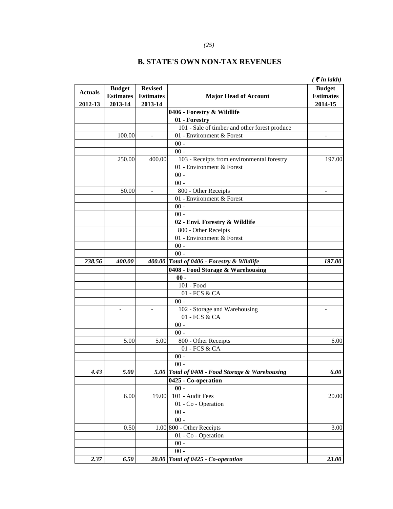|                |                  |                  |                                               | $\zeta$ $\bar{\zeta}$ in lakh) |
|----------------|------------------|------------------|-----------------------------------------------|--------------------------------|
|                | <b>Budget</b>    | <b>Revised</b>   |                                               | <b>Budget</b>                  |
| <b>Actuals</b> | <b>Estimates</b> | <b>Estimates</b> | <b>Major Head of Account</b>                  | <b>Estimates</b>               |
| 2012-13        | 2013-14          | 2013-14          |                                               | 2014-15                        |
|                |                  |                  | 0406 - Forestry & Wildlife                    |                                |
|                |                  |                  | 01 - Forestry                                 |                                |
|                |                  |                  | 101 - Sale of timber and other forest produce |                                |
|                | 100.00           | $\overline{a}$   | 01 - Environment & Forest                     | $\overline{\phantom{0}}$       |
|                |                  |                  | $00 -$                                        |                                |
|                |                  |                  | $00 -$                                        |                                |
|                | 250.00           | 400.00           | 103 - Receipts from environmental forestry    | 197.00                         |
|                |                  |                  | 01 - Environment & Forest                     |                                |
|                |                  |                  | $00$ -                                        |                                |
|                |                  |                  | $00 -$                                        |                                |
|                | 50.00            |                  | 800 - Other Receipts                          |                                |
|                |                  |                  | 01 - Environment & Forest                     |                                |
|                |                  |                  | $00 -$                                        |                                |
|                |                  |                  | $00 -$                                        |                                |
|                |                  |                  | 02 - Envi. Forestry & Wildlife                |                                |
|                |                  |                  | 800 - Other Receipts                          |                                |
|                |                  |                  | 01 - Environment & Forest                     |                                |
|                |                  |                  | $00$ -                                        |                                |
|                |                  |                  | $00 -$                                        |                                |
| 238.56         | 400.00           |                  | 400.00 Total of 0406 - Forestry & Wildlife    | 197.00                         |
|                |                  |                  | 0408 - Food Storage & Warehousing             |                                |
|                |                  |                  | $00 -$                                        |                                |
|                |                  |                  | 101 - Food                                    |                                |
|                |                  |                  | 01 - FCS & CA                                 |                                |
|                |                  |                  | $00 -$                                        |                                |
|                |                  |                  | 102 - Storage and Warehousing                 |                                |
|                |                  |                  | 01 - FCS & CA                                 |                                |
|                |                  |                  | $00$ -                                        |                                |
|                |                  |                  | $00 -$                                        |                                |
|                | 5.00             | 5.00             | 800 - Other Receipts                          | 6.00                           |
|                |                  |                  | 01 - FCS & CA                                 |                                |
|                |                  |                  | $00 -$                                        |                                |
|                |                  |                  | $00\,$                                        |                                |
| 4.43           | 5.00             | 5.00             | Total of 0408 - Food Storage & Warehousing    | 6.00                           |
|                |                  |                  | 0425 - Co-operation                           |                                |
|                |                  |                  | $00 -$                                        |                                |
|                | 6.00             | 19.00            | 101 - Audit Fees                              | 20.00                          |
|                |                  |                  | 01 - Co - Operation                           |                                |
|                |                  |                  | $00 -$                                        |                                |
|                |                  |                  | $00 -$                                        |                                |
|                | 0.50             |                  | 1.00 800 - Other Receipts                     | 3.00                           |
|                |                  |                  | 01 - Co - Operation                           |                                |
|                |                  |                  | $00 -$                                        |                                |
|                |                  |                  | $00 -$                                        |                                |
| 2.37           | 6.50             | <b>20.00</b>     | Total of 0425 - Co-operation                  | <b>23.00</b>                   |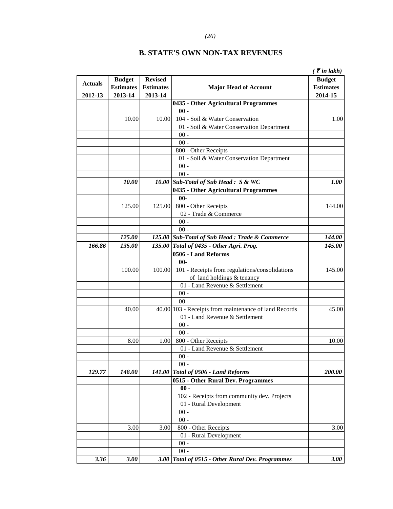|                |                  |                  |                                                       | $\zeta$ $\bar{\zeta}$ in lakh) |
|----------------|------------------|------------------|-------------------------------------------------------|--------------------------------|
| <b>Actuals</b> | <b>Budget</b>    | <b>Revised</b>   |                                                       | <b>Budget</b>                  |
|                | <b>Estimates</b> | <b>Estimates</b> | <b>Major Head of Account</b>                          | <b>Estimates</b>               |
| 2012-13        | 2013-14          | 2013-14          |                                                       | 2014-15                        |
|                |                  |                  | 0435 - Other Agricultural Programmes                  |                                |
|                |                  |                  | $00 -$                                                |                                |
|                | 10.00            | 10.00            | 104 - Soil & Water Conservation                       | 1.00                           |
|                |                  |                  | 01 - Soil & Water Conservation Department             |                                |
|                |                  |                  | $00 -$                                                |                                |
|                |                  |                  | $00 -$                                                |                                |
|                |                  |                  | 800 - Other Receipts                                  |                                |
|                |                  |                  | 01 - Soil & Water Conservation Department             |                                |
|                |                  |                  | $00 -$                                                |                                |
|                |                  |                  | $00 -$                                                |                                |
|                | <i>10.00</i>     |                  | 10.00 Sub-Total of Sub Head : S & WC                  | 1.00                           |
|                |                  |                  | 0435 - Other Agricultural Programmes                  |                                |
|                |                  |                  | $00 -$                                                |                                |
|                | 125.00           | 125.00           | 800 - Other Receipts                                  | 144.00                         |
|                |                  |                  | 02 - Trade & Commerce                                 |                                |
|                |                  |                  | $00 -$                                                |                                |
|                |                  |                  | $00 -$                                                |                                |
|                | 125.00           |                  | 125.00 Sub-Total of Sub Head : Trade & Commerce       | 144.00                         |
| 166.86         | 135.00           |                  | 135.00 Total of 0435 - Other Agri. Prog.              | 145.00                         |
|                |                  |                  | 0506 - Land Reforms                                   |                                |
|                |                  |                  | $00 -$                                                |                                |
|                | 100.00           | 100.00           | 101 - Receipts from regulations/consolidations        | 145.00                         |
|                |                  |                  | of land holdings & tenancy                            |                                |
|                |                  |                  | 01 - Land Revenue & Settlement                        |                                |
|                |                  |                  | $00 -$                                                |                                |
|                |                  |                  | $00 -$                                                |                                |
|                | 40.00            |                  | 40.00 103 - Receipts from maintenance of land Records | 45.00                          |
|                |                  |                  | 01 - Land Revenue & Settlement                        |                                |
|                |                  |                  | $00 -$                                                |                                |
|                |                  |                  | $00 -$                                                |                                |
|                | 8.00             | 1.00             | 800 - Other Receipts                                  | 10.00                          |
|                |                  |                  | 01 - Land Revenue & Settlement                        |                                |
|                |                  |                  | $00 -$                                                |                                |
|                |                  |                  | $00 -$                                                |                                |
| 129.77         | 148.00           | 141.00           | <b>Total of 0506 - Land Reforms</b>                   | <b>200.00</b>                  |
|                |                  |                  | 0515 - Other Rural Dev. Programmes                    |                                |
|                |                  |                  | $00 -$                                                |                                |
|                |                  |                  | 102 - Receipts from community dev. Projects           |                                |
|                |                  |                  | 01 - Rural Development                                |                                |
|                |                  |                  | $00 -$                                                |                                |
|                |                  |                  | $00 -$                                                |                                |
|                | 3.00             | 3.00             | 800 - Other Receipts                                  | 3.00                           |
|                |                  |                  | 01 - Rural Development                                |                                |
|                |                  |                  | $00 -$                                                |                                |
|                |                  |                  | $00 -$                                                |                                |
| 3.36           | 3.00             | <b>3.00</b>      | Total of 0515 - Other Rural Dev. Programmes           | 3.00                           |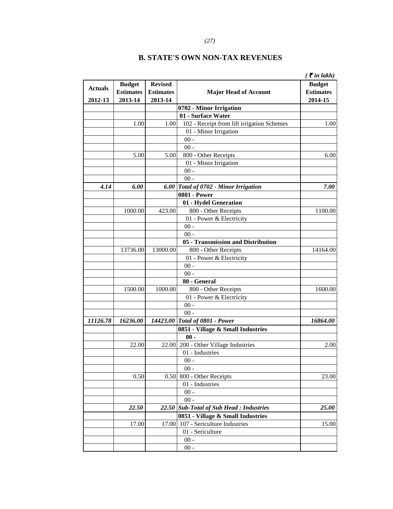# *(27)*

|                |                  |                  |                                            | $\zeta$ $\bar{\zeta}$ in lakh) |
|----------------|------------------|------------------|--------------------------------------------|--------------------------------|
|                | <b>Budget</b>    | <b>Revised</b>   |                                            | <b>Budget</b>                  |
| <b>Actuals</b> | <b>Estimates</b> | <b>Estimates</b> | <b>Major Head of Account</b>               | <b>Estimates</b>               |
| 2012-13        | 2013-14          | 2013-14          |                                            | 2014-15                        |
|                |                  |                  | 0702 - Minor Irrigation                    |                                |
|                |                  |                  | 01 - Surface Water                         |                                |
|                | 1.00             | 1.00             | 102 - Receipt from lift irrigation Schemes | 1.00                           |
|                |                  |                  | 01 - Minor Irrigation                      |                                |
|                |                  |                  | $00$ -                                     |                                |
|                |                  |                  | $00 -$                                     |                                |
|                | 5.00             | 5.00             | 800 - Other Receipts                       | 6.00                           |
|                |                  |                  | 01 - Minor Irrigation                      |                                |
|                |                  |                  | $00$ -                                     |                                |
|                |                  |                  | $00$ -                                     |                                |
| 4.14           | 6.00             | 6.00             | Total of 0702 - Minor Irrigation           | 7.00                           |
|                |                  |                  | <b>0801 - Power</b>                        |                                |
|                |                  |                  | 01 - Hydel Generation                      |                                |
|                | 1000.00          | 423.00           | 800 - Other Receipts                       | 1100.00                        |
|                |                  |                  | 01 - Power & Electricity                   |                                |
|                |                  |                  | $00 -$                                     |                                |
|                |                  |                  | $00 -$                                     |                                |
|                |                  |                  | 05 - Transmission and Distribution         |                                |
|                | 13736.00         | 13000.00         | 800 - Other Receipts                       | 14164.00                       |
|                |                  |                  | 01 - Power & Electricity                   |                                |
|                |                  |                  | $00$ -                                     |                                |
|                |                  |                  | $00 -$                                     |                                |
|                |                  |                  | 80 - General                               |                                |
|                | 1500.00          | 1000.00          | 800 - Other Receipts                       | 1600.00                        |
|                |                  |                  | 01 - Power & Electricity                   |                                |
|                |                  |                  | $00$ -                                     |                                |
|                |                  |                  | $00 -$                                     |                                |
| 11126.78       | 16236.00         | 14423.00         | Total of 0801 - Power                      | 16864.00                       |
|                |                  |                  | 0851 - Village & Small Industries          |                                |
|                |                  |                  | $00 -$                                     |                                |
|                | 22.00            | 22.00            | 200 - Other Village Industries             | 2.00                           |
|                |                  |                  | 01 - Industries                            |                                |
|                |                  |                  | $00 -$                                     |                                |
|                |                  |                  | $00 -$                                     |                                |
|                | 0.50             | 0.50             | 800 - Other Receipts                       | 23.00                          |
|                |                  |                  | 01 - Industries                            |                                |
|                |                  |                  | $00 -$                                     |                                |
|                |                  |                  | $00 -$                                     |                                |
|                | 22.50            | 22.50            | <b>Sub-Total of Sub Head: Industries</b>   | 25.00                          |
|                |                  |                  | 0851 - Village & Small Industries          |                                |
|                | 17.00            | 17.00            | 107 - Sericulture Industries               | 15.00                          |
|                |                  |                  | 01 - Sericulture                           |                                |
|                |                  |                  | $00 -$                                     |                                |
|                |                  |                  | $00 -$                                     |                                |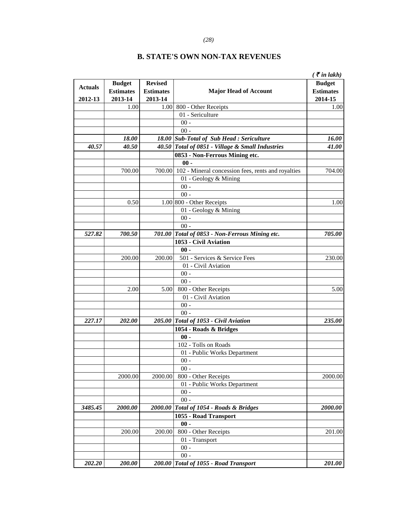#### *(28)*

|                |                                   |                                    |                                                           | $\zeta$ $\bar{\zeta}$ in lakh)    |
|----------------|-----------------------------------|------------------------------------|-----------------------------------------------------------|-----------------------------------|
| <b>Actuals</b> | <b>Budget</b><br><b>Estimates</b> | <b>Revised</b><br><b>Estimates</b> | <b>Major Head of Account</b>                              | <b>Budget</b><br><b>Estimates</b> |
| 2012-13        | 2013-14                           | 2013-14                            |                                                           | 2014-15                           |
|                | 1.00                              |                                    | 1.00 800 - Other Receipts                                 | 1.00                              |
|                |                                   |                                    | 01 - Sericulture                                          |                                   |
|                |                                   |                                    | $00 -$                                                    |                                   |
|                |                                   |                                    | $00 -$                                                    |                                   |
|                | 18.00                             |                                    | 18.00 Sub-Total of Sub Head : Sericulture                 | 16.00                             |
| 40.57          | 40.50                             |                                    | 40.50 Total of 0851 - Village & Small Industries          | 41.00                             |
|                |                                   |                                    | 0853 - Non-Ferrous Mining etc.                            |                                   |
|                |                                   |                                    | $00 -$                                                    |                                   |
|                | 700.00                            |                                    | 700.00 102 - Mineral concession fees, rents and royalties | 704.00                            |
|                |                                   |                                    | 01 - Geology & Mining                                     |                                   |
|                |                                   |                                    | $00 -$                                                    |                                   |
|                |                                   |                                    | $00 -$                                                    |                                   |
|                | 0.50                              |                                    | 1.00 800 - Other Receipts                                 | 1.00                              |
|                |                                   |                                    | 01 - Geology & Mining                                     |                                   |
|                |                                   |                                    | $00 -$                                                    |                                   |
|                |                                   |                                    | $00 -$                                                    |                                   |
| 527.82         | 700.50                            |                                    | 701.00 Total of 0853 - Non-Ferrous Mining etc.            | 705.00                            |
|                |                                   |                                    | 1053 - Civil Aviation                                     |                                   |
|                |                                   |                                    | $00 -$                                                    |                                   |
|                | 200.00                            | 200.00                             | 501 - Services & Service Fees                             | 230.00                            |
|                |                                   |                                    | 01 - Civil Aviation                                       |                                   |
|                |                                   |                                    | $00 -$                                                    |                                   |
|                |                                   |                                    | $00 -$                                                    |                                   |
|                | 2.00                              | 5.00                               | 800 - Other Receipts                                      | 5.00                              |
|                |                                   |                                    | 01 - Civil Aviation                                       |                                   |
|                |                                   |                                    | $00 -$                                                    |                                   |
|                |                                   |                                    | $00 -$                                                    |                                   |
| 227.17         | 202.00                            |                                    | 205.00 Total of 1053 - Civil Aviation                     | 235.00                            |
|                |                                   |                                    | 1054 - Roads & Bridges                                    |                                   |
|                |                                   |                                    | $00 -$                                                    |                                   |
|                |                                   |                                    | 102 - Tolls on Roads                                      |                                   |
|                |                                   |                                    | 01 - Public Works Department                              |                                   |
|                |                                   |                                    | $00 -$                                                    |                                   |
|                |                                   |                                    | $00 -$                                                    |                                   |
|                | 2000.00                           | 2000.00                            | 800 - Other Receipts                                      | 2000.00                           |
|                |                                   |                                    | 01 - Public Works Department                              |                                   |
|                |                                   |                                    | $00 -$                                                    |                                   |
|                |                                   |                                    | $00 -$                                                    |                                   |
| 3485.45        | 2000.00                           | 2000.00                            | Total of 1054 - Roads & Bridges                           | 2000.00                           |
|                |                                   |                                    | 1055 - Road Transport                                     |                                   |
|                |                                   |                                    | $00 -$                                                    |                                   |
|                | 200.00                            | 200.00                             | 800 - Other Receipts                                      | 201.00                            |
|                |                                   |                                    | 01 - Transport                                            |                                   |
|                |                                   |                                    | $00 -$                                                    |                                   |
|                |                                   |                                    | $00 -$                                                    |                                   |
| 202.20         | 200.00                            |                                    | 200.00 Total of 1055 - Road Transport                     | 201.00                            |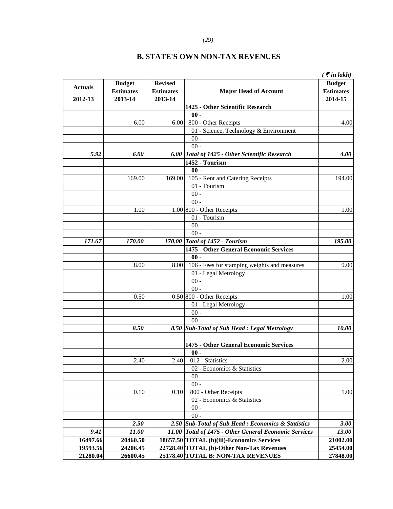#### *(29)*

|                |                                   |                                    |                                                       | $\zeta$ $\bar{\zeta}$ in lakh)    |
|----------------|-----------------------------------|------------------------------------|-------------------------------------------------------|-----------------------------------|
| <b>Actuals</b> | <b>Budget</b><br><b>Estimates</b> | <b>Revised</b><br><b>Estimates</b> | <b>Major Head of Account</b>                          | <b>Budget</b><br><b>Estimates</b> |
| 2012-13        | 2013-14                           | 2013-14                            | 1425 - Other Scientific Research                      | 2014-15                           |
|                |                                   |                                    | $00 -$                                                |                                   |
|                | 6.00                              | 6.00                               | 800 - Other Receipts                                  | 4.00                              |
|                |                                   |                                    | 01 - Science, Technology & Environment                |                                   |
|                |                                   |                                    | $00 -$                                                |                                   |
|                |                                   |                                    | $00 -$                                                |                                   |
| 5.92           | 6.00                              |                                    | 6.00 Total of 1425 - Other Scientific Research        | 4.00                              |
|                |                                   |                                    | 1452 - Tourism                                        |                                   |
|                |                                   |                                    | $00 -$                                                |                                   |
|                | 169.00                            | 169.00                             | 105 - Rent and Catering Receipts                      | 194.00                            |
|                |                                   |                                    | 01 - Tourism                                          |                                   |
|                |                                   |                                    | $00 -$                                                |                                   |
|                |                                   |                                    | $00 -$                                                |                                   |
|                | 1.00                              |                                    | 1.00 800 - Other Receipts                             | 1.00                              |
|                |                                   |                                    | 01 - Tourism                                          |                                   |
|                |                                   |                                    | $00 -$                                                |                                   |
|                |                                   |                                    | $00 -$                                                |                                   |
| 171.67         | 170.00                            |                                    | 170.00 Total of 1452 - Tourism                        | 195.00                            |
|                |                                   |                                    | 1475 - Other General Economic Services                |                                   |
|                |                                   |                                    | $00 -$                                                |                                   |
|                | 8.00                              | 8.00                               | 106 - Fees for stamping weights and measures          | 9.00                              |
|                |                                   |                                    | 01 - Legal Metrology                                  |                                   |
|                |                                   |                                    | $00 -$                                                |                                   |
|                |                                   |                                    | $00 -$                                                |                                   |
|                | 0.50                              |                                    | 0.50 800 - Other Receipts                             | 1.00                              |
|                |                                   |                                    | 01 - Legal Metrology                                  |                                   |
|                |                                   |                                    | $00 -$                                                |                                   |
|                |                                   |                                    | $00 -$                                                |                                   |
|                | 8.50                              |                                    | 8.50 Sub-Total of Sub Head : Legal Metrology          | 10.00                             |
|                |                                   |                                    | 1475 - Other General Economic Services                |                                   |
|                |                                   |                                    | $00 -$                                                |                                   |
|                | 2.40                              | 2.40                               | 012 - Statistics                                      | 2.00                              |
|                |                                   |                                    | 02 - Economics & Statistics                           |                                   |
|                |                                   |                                    | $00 -$                                                |                                   |
|                |                                   |                                    | $00 -$                                                |                                   |
|                | 0.10                              | 0.10                               | 800 - Other Receipts                                  | 1.00                              |
|                |                                   |                                    | 02 - Economics & Statistics                           |                                   |
|                |                                   |                                    | $00 -$                                                |                                   |
|                |                                   |                                    | $00 -$                                                |                                   |
|                | 2.50                              |                                    | 2.50 Sub-Total of Sub Head : Economics & Statistics   | 3.00                              |
| 9.41           | 11.00                             |                                    | 11.00 Total of 1475 - Other General Economic Services | 13.00                             |
| 16497.66       | 20460.50                          |                                    | 18657.50 TOTAL (b)(iii)-Economics Services            | 21002.00                          |
| 19593.56       | 24206.45                          |                                    | 22728.40 TOTAL (b)-Other Non-Tax Revenues             | 25454.00                          |
| 21280.04       | 26600.45                          |                                    | 25178.40 TOTAL B: NON-TAX REVENUES                    | 27848.00                          |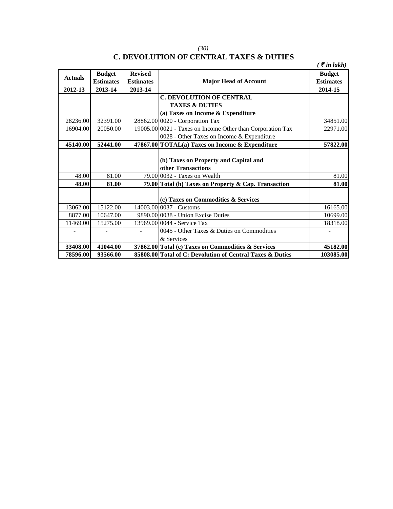# **C. DEVOLUTION OF CENTRAL TAXES & DUTIES**

|                |                  |                  |                                                            | $\zeta$ $\bar{\zeta}$ in lakh) |
|----------------|------------------|------------------|------------------------------------------------------------|--------------------------------|
| <b>Actuals</b> | <b>Budget</b>    | <b>Revised</b>   |                                                            | <b>Budget</b>                  |
|                | <b>Estimates</b> | <b>Estimates</b> | <b>Major Head of Account</b>                               | <b>Estimates</b>               |
| 2012-13        | 2013-14          | 2013-14          |                                                            | 2014-15                        |
|                |                  |                  | <b>C. DEVOLUTION OF CENTRAL</b>                            |                                |
|                |                  |                  | <b>TAXES &amp; DUTIES</b>                                  |                                |
|                |                  |                  | (a) Taxes on Income & Expenditure                          |                                |
| 28236.00       | 32391.00         |                  | 28862.00 0020 - Corporation Tax                            | 34851.00                       |
| 16904.00       | 20050.00         |                  | 19005.00 0021 - Taxes on Income Other than Corporation Tax | 22971.00                       |
|                |                  |                  | 0028 - Other Taxes on Income & Expenditure                 |                                |
| 45140.00       | 52441.00         |                  | 47867.00 TOTAL(a) Taxes on Income & Expenditure            | 57822.00                       |
|                |                  |                  |                                                            |                                |
|                |                  |                  | (b) Taxes on Property and Capital and                      |                                |
|                |                  |                  | other Transactions                                         |                                |
| 48.00          | 81.00            |                  | 79.00 0032 - Taxes on Wealth                               | 81.00                          |
| 48.00          | 81.00            |                  | 79.00 Total (b) Taxes on Property & Cap. Transaction       | 81.00                          |
|                |                  |                  |                                                            |                                |
|                |                  |                  | (c) Taxes on Commodities & Services                        |                                |
| 13062.00       | 15122.00         |                  | 14003.00 0037 - Customs                                    | 16165.00                       |
| 8877.00        | 10647.00         |                  | 9890.00 0038 - Union Excise Duties                         | 10699.00                       |
| 11469.00       | 15275.00         |                  | 13969.0010044 - Service Tax                                | 18318.00                       |
|                |                  |                  | 0045 - Other Taxes & Duties on Commodities                 |                                |
|                |                  |                  | & Services                                                 |                                |
| 33408.00       | 41044.00         |                  | 37862.00 Total (c) Taxes on Commodities & Services         | 45182.00                       |
| 78596.00       | 93566.00         |                  | 85808.00 Total of C: Devolution of Central Taxes & Duties  | 103085.00                      |

*(30)*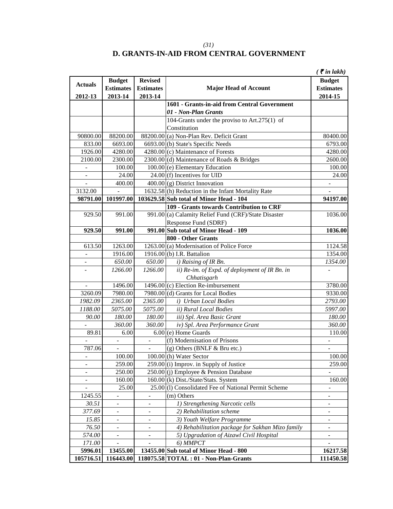# **D. GRANTS-IN-AID FROM CENTRAL GOVERNMENT**

|                          |                          |                          |                                                      | $\zeta$ $\bar{\zeta}$ in lakh) |
|--------------------------|--------------------------|--------------------------|------------------------------------------------------|--------------------------------|
|                          | <b>Budget</b>            | <b>Revised</b>           |                                                      | <b>Budget</b>                  |
| <b>Actuals</b>           | <b>Estimates</b>         | <b>Estimates</b>         | <b>Major Head of Account</b>                         | <b>Estimates</b>               |
| 2012-13                  | 2013-14                  | 2013-14                  |                                                      | 2014-15                        |
|                          |                          |                          | 1601 - Grants-in-aid from Central Government         |                                |
|                          |                          |                          | 01 - Non-Plan Grants                                 |                                |
|                          |                          |                          | 104-Grants under the proviso to Art.275(1) of        |                                |
|                          |                          |                          | Constitution                                         |                                |
| 90800.00                 | 88200.00                 |                          | 88200.00 (a) Non-Plan Rev. Deficit Grant             | 80400.00                       |
| 833.00                   | 6693.00                  |                          | 6693.00 (b) State's Specific Needs                   | 6793.00                        |
| 1926.00                  | 4280.00                  |                          | $4280.00$ (c) Maintenance of Forests                 | 4280.00                        |
| 2100.00                  | 2300.00                  |                          | 2300.00 (d) Maintenance of Roads & Bridges           | 2600.00                        |
|                          | 100.00                   |                          | 100.00 (e) Elementary Education                      | 100.00                         |
| $\blacksquare$           | 24.00                    |                          | $24.00$ (f) Incentives for UID                       | 24.00                          |
| $\blacksquare$           | 400.00                   |                          | $400.00$ (g) District Innovation                     | $\overline{\phantom{a}}$       |
| 3132.00                  |                          |                          | 1632.58 (h) Reduction in the Infant Mortality Rate   |                                |
| 98791.00                 | 101997.00                |                          | 103629.58 Sub total of Minor Head - 104              | 94197.00                       |
|                          |                          |                          | 109 - Grants towards Contribution to CRF             |                                |
| 929.50                   | 991.00                   |                          | 991.00 (a) Calamity Relief Fund (CRF)/State Disaster | 1036.00                        |
|                          |                          |                          | Response Fund (SDRF)                                 |                                |
| 929.50                   | 991.00                   |                          | 991.00 Sub total of Minor Head - 109                 | 1036.00                        |
|                          |                          |                          | 800 - Other Grants                                   |                                |
| 613.50                   | 1263.00                  |                          | $1263.00$ (a) Modernisation of Police Force          | 1124.58                        |
|                          | 1916.00                  |                          | 1916.00 $(b)$ I.R. Battalion                         | 1354.00                        |
|                          | 650.00                   | 650.00                   | i) Raising of IR Bn.                                 | 1354.00                        |
|                          | 1266.00                  | 1266.00                  | ii) Re-im. of Expd. of deployment of IR Bn. in       |                                |
|                          |                          |                          | Chhatisgarh                                          |                                |
|                          | 1496.00                  |                          | $1496.00$ (c) Election Re-imbursement                | 3780.00                        |
| 3260.09                  | 7980.00                  |                          | 7980.00 (d) Grants for Local Bodies                  | 9330.00                        |
| 1982.09                  | 2365.00                  | 2365.00                  | i) Urban Local Bodies                                | 2793.00                        |
| 1188.00                  | 5075.00                  | 5075.00                  | ii) Rural Local Bodies                               | 5997.00                        |
| 90.00                    | 180.00                   | 180.00                   | iii) Spl. Area Basic Grant                           | 180.00                         |
|                          | 360.00                   | 360.00                   | iv) Spl. Area Performance Grant                      | 360.00                         |
| 89.81                    | 6.00                     |                          | $6.00$ (e) Home Guards                               | 110.00                         |
|                          | $\blacksquare$           | $\overline{\phantom{a}}$ | (f) Modernisation of Prisons                         |                                |
| 787.06                   | $\omega$                 | $\overline{\phantom{a}}$ | (g) Others (BNLF & Bru etc.)                         | $\overline{\phantom{a}}$       |
|                          | 100.00                   |                          | 100.00 (h) Water Sector                              | 100.00                         |
|                          | 259.00                   |                          | $259.00$ (i) Improv. in Supply of Justice            | 259.00                         |
| $\overline{\phantom{m}}$ | 250.00                   |                          | 250.00 (j) Employee & Pension Database               |                                |
|                          | 160.00                   |                          | 160.00 (k) Dist./State/Stats. System                 | 160.00                         |
|                          | 25.00                    |                          | 25.00 (1) Consolidated Fee of National Permit Scheme | $\overline{a}$                 |
| 1245.55                  | $\overline{\phantom{0}}$ | $\overline{\phantom{a}}$ | (m) Others                                           | $\overline{a}$                 |
| 30.51                    | $\overline{\phantom{a}}$ |                          | 1) Strengthening Narcotic cells                      |                                |
| 377.69                   |                          |                          | 2) Rehabilitation scheme                             |                                |
| 15.85                    | $\overline{\phantom{a}}$ |                          | 3) Youth Welfare Programme                           |                                |
| 76.50                    |                          |                          | 4) Rehabilitation package for Sakhan Mizo family     |                                |
| 574.00                   |                          |                          | 5) Upgradation of Aizawl Civil Hospital              |                                |
| 171.00                   |                          |                          | 6) MMPCT                                             |                                |
| 5996.01                  | 13455.00                 |                          | 13455.00 Sub total of Minor Head - 800               | 16217.58                       |
| 105716.51                | 116443.00                |                          | 118075.58 TOTAL: 01 - Non-Plan-Grants                | 111450.58                      |

*(31)*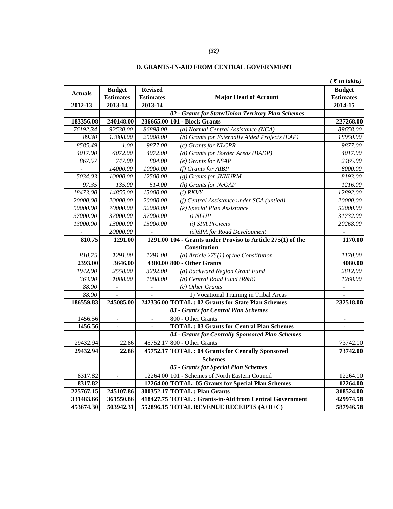#### *(32)*

#### **D. GRANTS-IN-AID FROM CENTRAL GOVERNMENT**

|                |                          |                          |                                                               | $($ ₹ in lakhs)  |
|----------------|--------------------------|--------------------------|---------------------------------------------------------------|------------------|
|                | <b>Budget</b>            | <b>Revised</b>           |                                                               | <b>Budget</b>    |
| <b>Actuals</b> | <b>Estimates</b>         | <b>Estimates</b>         | <b>Major Head of Account</b>                                  | <b>Estimates</b> |
| 2012-13        | 2013-14                  | 2013-14                  |                                                               | 2014-15          |
|                |                          |                          | 02 - Grants for State/Union Territory Plan Schemes            |                  |
| 183356.08      | 240148.00                |                          | 236665.00 101 - Block Grants                                  | 227268.00        |
| 76192.34       | 92530.00                 | 86898.00                 | (a) Normal Central Assistance (NCA)                           | 89658.00         |
| 89.30          | 13808.00                 | 25000.00                 | (b) Grants for Externally Aided Projects (EAP)                | 18950.00         |
| 8585.49        | 1.00                     | 9877.00                  | (c) Grants for NLCPR                                          | 9877.00          |
| 4017.00        | 4072.00                  | 4072.00                  | (d) Grants for Border Areas (BADP)                            | 4017.00          |
| 867.57         | 747.00                   | 804.00                   | (e) Grants for NSAP                                           | 2465.00          |
|                | 14000.00                 | 10000.00                 | (f) Grants for AIBP                                           | 8000.00          |
| 5034.03        | 10000.00                 | 12500.00                 | (g) Grants for JNNURM                                         | 8193.00          |
| 97.35          | 135.00                   | 514.00                   | (h) Grants for NeGAP                                          | 1216.00          |
| 18473.00       | 14855.00                 | 15000.00                 | $(i)$ RKVY                                                    | 12892.00         |
| 20000.00       | 20000.00                 | 20000.00                 | (j) Central Assistance under SCA (untied)                     | 20000.00         |
| 50000.00       | 70000.00                 | 52000.00                 | (k) Special Plan Assistance                                   | 52000.00         |
| 37000.00       | 37000.00                 | 37000.00                 | i) N LUP                                                      | 31732.00         |
| 13000.00       | 13000.00                 | 15000.00                 | ii) SPA Projects                                              | 20268.00         |
|                | 20000.00                 |                          | iii)SPA for Road Development                                  |                  |
| 810.75         | 1291.00                  |                          | $1291.00 104$ - Grants under Proviso to Article 275(1) of the | 1170.00          |
|                |                          |                          | Constitution                                                  |                  |
| 810.75         | 1291.00                  | 1291.00                  | (a) Article $275(1)$ of the Constitution                      | 1170.00          |
| 2393.00        | 3646.00                  |                          | 4380.00 800 - Other Grants                                    | 4080.00          |
| 1942.00        | 2558.00                  | 3292.00                  | (a) Backward Region Grant Fund                                | 2812.00          |
| 363.00         | 1088.00                  | 1088.00                  | (b) Central Road Fund (R&B)                                   | 1268.00          |
| 88.00          |                          | $\Box$                   | (c) Other Grants                                              |                  |
| 88.00          | $\overline{a}$           | $\overline{a}$           | 1) Vocational Training in Tribal Areas                        |                  |
| 186559.83      | 245085.00                |                          | 242336.00 TOTAL : 02 Grants for State Plan Schemes            | 232518.00        |
|                |                          |                          | 03 - Grants for Central Plan Schemes                          |                  |
| 1456.56        | $\overline{\phantom{a}}$ | $\overline{\phantom{a}}$ | 800 - Other Grants                                            |                  |
| 1456.56        |                          |                          | <b>TOTAL: 03 Grants for Central Plan Schemes</b>              |                  |
|                |                          |                          | 04 - Grants for Centrally Sponsored Plan Schemes              |                  |
| 29432.94       | 22.86                    |                          | 45752.17 800 - Other Grants                                   | 73742.00         |
| 29432.94       | 22.86                    |                          | 45752.17 TOTAL : 04 Grants for Cenrally Sponsored             | 73742.00         |
|                |                          |                          | <b>Schemes</b>                                                |                  |
|                |                          |                          | 05 - Grants for Special Plan Schemes                          |                  |
| 8317.82        |                          |                          | 12264.00 101 - Schemes of North Eastern Council               | 12264.00         |
| 8317.82        | $\overline{a}$           |                          | 12264.00 TOTAL: 05 Grants for Special Plan Schemes            | 12264.00         |
| 225767.15      | 245107.86                |                          | 300352.17 TOTAL : Plan Grants                                 | 318524.00        |
| 331483.66      | 361550.86                |                          | 418427.75 TOTAL : Grants-in-Aid from Central Government       | 429974.58        |
| 453674.30      | 503942.31                |                          | 552896.15 TOTAL REVENUE RECEIPTS $(A+B+C)$                    | 587946.58        |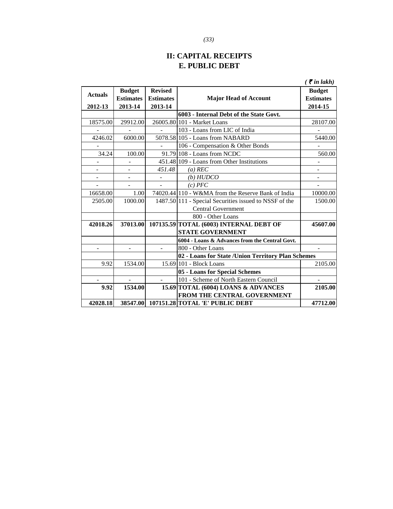# **II: CAPITAL RECEIPTS E. PUBLIC DEBT**

|                |                  |                  |                                                        | $\zeta$ $\bar{\zeta}$ in lakh) |
|----------------|------------------|------------------|--------------------------------------------------------|--------------------------------|
| <b>Actuals</b> | <b>Budget</b>    | <b>Revised</b>   |                                                        | <b>Budget</b>                  |
|                | <b>Estimates</b> | <b>Estimates</b> | <b>Major Head of Account</b>                           | <b>Estimates</b>               |
| 2012-13        | 2013-14          | 2013-14          |                                                        | 2014-15                        |
|                |                  |                  | 6003 - Internal Debt of the State Govt.                |                                |
| 18575.00       | 29912.00         |                  | 26005.80 101 - Market Loans                            | 28107.00                       |
|                |                  |                  | 103 - Loans from LIC of India                          |                                |
| 4246.02        | 6000.00          |                  | 5078.58 105 - Loans from NABARD                        | 5440.00                        |
|                |                  |                  | 106 - Compensation & Other Bonds                       |                                |
| 34.24          | 100.00           |                  | 91.79 108 - Loans from NCDC                            | 560.00                         |
|                |                  |                  | 451.48 109 - Loans from Other Institutions             |                                |
|                |                  | 451.48           | $(a)$ REC                                              |                                |
|                | ÷,               | $\overline{a}$   | (b) HUDCO                                              |                                |
|                |                  |                  | $(c)$ $PFC$                                            |                                |
| 16658.00       | 1.00             |                  | 74020.44 110 - W&MA from the Reserve Bank of India     | 10000.00                       |
| 2505.00        | 1000.00          |                  | 1487.50 111 - Special Securities issued to NSSF of the | 1500.00                        |
|                |                  |                  | <b>Central Government</b>                              |                                |
|                |                  |                  | 800 - Other Loans                                      |                                |
| 42018.26       | 37013.00         |                  | 107135.59 TOTAL (6003) INTERNAL DEBT OF                | 45607.00                       |
|                |                  |                  | <b>STATE GOVERNMENT</b>                                |                                |
|                |                  |                  | 6004 - Loans & Advances from the Central Govt.         |                                |
|                |                  |                  | 800 - Other Loans                                      |                                |
|                |                  |                  | 02 - Loans for State /Union Territory Plan Schemes     |                                |
| 9.92           | 1534.00          |                  | 15.69 101 - Block Loans                                | 2105.00                        |
|                |                  |                  | 05 - Loans for Special Schemes                         |                                |
|                | $\mathbf{r}$     |                  | 101 - Scheme of North Eastern Council                  | $\mathbf{r}$                   |
| 9.92           | 1534.00          |                  | 15.69 TOTAL (6004) LOANS & ADVANCES                    | 2105.00                        |
|                |                  |                  | FROM THE CENTRAL GOVERNMENT                            |                                |
| 42028.18       |                  |                  | 38547.00 107151.28 TOTAL 'E' PUBLIC DEBT               | 47712.00                       |